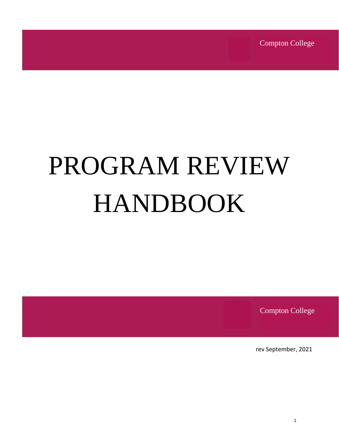Compton College

# PROGRAM REVIEW HANDBOOK

Compton College

rev September, 2021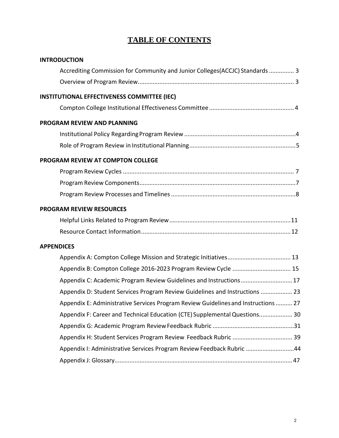# **TABLE OF CONTENTS**

| <b>INTRODUCTION</b>                                                                |
|------------------------------------------------------------------------------------|
| Accrediting Commission for Community and Junior Colleges(ACCJC) Standards  3       |
|                                                                                    |
| <b>INSTITUTIONAL EFFECTIVENESS COMMITTEE (IEC)</b>                                 |
|                                                                                    |
| <b>PROGRAM REVIEW AND PLANNING</b>                                                 |
|                                                                                    |
|                                                                                    |
| PROGRAM REVIEW AT COMPTON COLLEGE                                                  |
|                                                                                    |
|                                                                                    |
|                                                                                    |
| <b>PROGRAM REVIEW RESOURCES</b>                                                    |
|                                                                                    |
|                                                                                    |
| <b>APPENDICES</b>                                                                  |
|                                                                                    |
| Appendix B: Compton College 2016-2023 Program Review Cycle  15                     |
| Appendix C: Academic Program Review Guidelines and Instructions 17                 |
| Appendix D: Student Services Program Review Guidelines and Instructions  23        |
| Appendix E: Administrative Services Program Review Guidelines and Instructions  27 |
| Appendix F: Career and Technical Education (CTE) Supplemental Questions 30         |
|                                                                                    |
|                                                                                    |
| Appendix I: Administrative Services Program Review Feedback Rubric 44              |
|                                                                                    |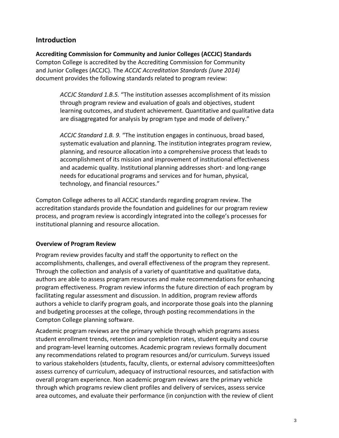# **Introduction**

**Accrediting Commission for Community and Junior Colleges (ACCJC) Standards** Compton College is accredited by the Accrediting Commission for Community and Junior Colleges (ACCJC). The *ACCJC Accreditation Standards (June 2014)* document provides the following standards related to program review:

> *ACCJC Standard 1.B.5.* "The institution assesses accomplishment of its mission through program review and evaluation of goals and objectives, student learning outcomes, and student achievement. Quantitative and qualitative data are disaggregated for analysis by program type and mode of delivery."

> *ACCJC Standard 1.B. 9.* "The institution engages in continuous, broad based, systematic evaluation and planning. The institution integrates program review, planning, and resource allocation into a comprehensive process that leads to accomplishment of its mission and improvement of institutional effectiveness and academic quality. Institutional planning addresses short- and long-range needs for educational programs and services and for human, physical, technology, and financial resources."

Compton College adheres to all ACCJC standards regarding program review. The accreditation standards provide the foundation and guidelines for our program review process, and program review is accordingly integrated into the college's processes for institutional planning and resource allocation.

#### **Overview of Program Review**

Program review provides faculty and staff the opportunity to reflect on the accomplishments, challenges, and overall effectiveness of the program they represent. Through the collection and analysis of a variety of quantitative and qualitative data, authors are able to assess program resources and make recommendations for enhancing program effectiveness. Program review informs the future direction of each program by facilitating regular assessment and discussion. In addition, program review affords authors a vehicle to clarify program goals, and incorporate those goals into the planning and budgeting processes at the college, through posting recommendations in the Compton College planning software.

Academic program reviews are the primary vehicle through which programs assess student enrollment trends, retention and completion rates, student equity and course and program-level learning outcomes. Academic program reviews formally document any recommendations related to program resources and/or curriculum. Surveys issued to various stakeholders (students, faculty, clients, or external advisory committees)often assess currency of curriculum, adequacy of instructional resources, and satisfaction with overall program experience. Non academic program reviews are the primary vehicle through which programs review client profiles and delivery of services, assess service area outcomes, and evaluate their performance (in conjunction with the review of client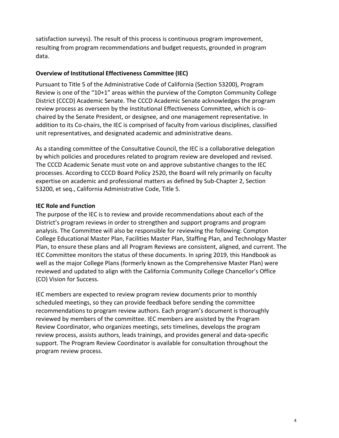satisfaction surveys). The result of this process is continuous program improvement, resulting from program recommendations and budget requests, grounded in program data.

#### **Overview of Institutional Effectiveness Committee (IEC)**

Pursuant to Title 5 of the Administrative Code of California (Section 53200), Program Review is one of the "10+1" areas within the purview of the Compton Community College District (CCCD) Academic Senate. The CCCD Academic Senate acknowledges the program review process as overseen by the Institutional Effectiveness Committee, which is cochaired by the Senate President, or designee, and one management representative. In addition to its Co-chairs, the IEC is comprised of faculty from various disciplines, classified unit representatives, and designated academic and administrative deans.

As a standing committee of the Consultative Council, the IEC is a collaborative delegation by which policies and procedures related to program review are developed and revised. The CCCD Academic Senate must vote on and approve substantive changes to the IEC processes. According to CCCD Board Policy 2520, the Board will rely primarily on faculty expertise on academic and professional matters as defined by Sub-Chapter 2, Section 53200, et seq., California Administrative Code, Title 5.

#### **IEC Role and Function**

The purpose of the IEC is to review and provide recommendations about each of the District's program reviews in order to strengthen and support programs and program analysis. The Committee will also be responsible for reviewing the following: Compton College Educational Master Plan, Facilities Master Plan, Staffing Plan, and Technology Master Plan, to ensure these plans and all Program Reviews are consistent, aligned, and current. The IEC Committee monitors the status of these documents. In spring 2019, this Handbook as well as the major College Plans (formerly known as the Comprehensive Master Plan) were reviewed and updated to align with the California Community College Chancellor's Office (CO) Vision for Success.

IEC members are expected to review program review documents prior to monthly scheduled meetings, so they can provide feedback before sending the committee recommendations to program review authors. Each program's document is thoroughly reviewed by members of the committee. IEC members are assisted by the Program Review Coordinator, who organizes meetings, sets timelines, develops the program review process, assists authors, leads trainings, and provides general and data-specific support. The Program Review Coordinator is available for consultation throughout the program review process.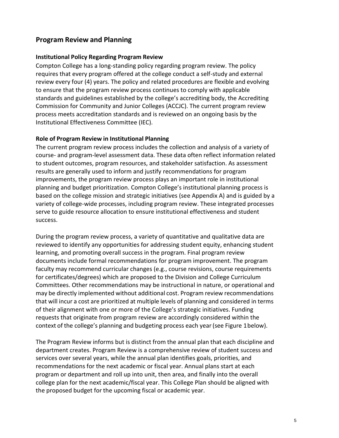# **Program Review and Planning**

#### **Institutional Policy Regarding Program Review**

Compton College has a long-standing policy regarding program review. The policy requires that every program offered at the college conduct a self-study and external review every four (4) years. The policy and related procedures are flexible and evolving to ensure that the program review process continues to comply with applicable standards and guidelines established by the college's accrediting body, the Accrediting Commission for Community and Junior Colleges (ACCJC). The current program review process meets accreditation standards and is reviewed on an ongoing basis by the Institutional Effectiveness Committee (IEC).

#### **Role of Program Review in Institutional Planning**

The current program review process includes the collection and analysis of a variety of course- and program-level assessment data. These data often reflect information related to student outcomes, program resources, and stakeholder satisfaction. As assessment results are generally used to inform and justify recommendations for program improvements, the program review process plays an important role in institutional planning and budget prioritization. Compton College's institutional planning process is based on the college mission and strategic initiatives (see Appendix A) and is guided by a variety of college-wide processes, including program review. These integrated processes serve to guide resource allocation to ensure institutional effectiveness and student success.

During the program review process, a variety of quantitative and qualitative data are reviewed to identify any opportunities for addressing student equity, enhancing student learning, and promoting overall success in the program. Final program review documents include formal recommendations for program improvement. The program faculty may recommend curricular changes (e.g., course revisions, course requirements for certificates/degrees) which are proposed to the Division and College Curriculum Committees. Other recommendations may be instructional in nature, or operational and may be directly implemented without additional cost. Program review recommendations that will incur a cost are prioritized at multiple levels of planning and considered in terms of their alignment with one or more of the College's strategic initiatives. Funding requests that originate from program review are accordingly considered within the context of the college's planning and budgeting process each year (see Figure 1 below).

The Program Review informs but is distinct from the annual plan that each discipline and department creates. Program Review is a comprehensive review of student success and services over several years, while the annual plan identifies goals, priorities, and recommendations for the next academic or fiscal year. Annual plans start at each program or department and roll up into unit, then area, and finally into the overall college plan for the next academic/fiscal year. This College Plan should be aligned with the proposed budget for the upcoming fiscal or academic year.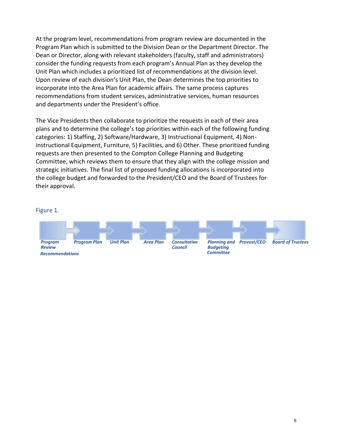At the program level, recommendations from program review are documented in the Program Plan which is submitted to the Division Dean or the Department Director. The Dean or Director, along with relevant stakeholders (faculty, staff and administrators) consider the funding requests from each program's Annual Plan as they develop the Unit Plan which includes a prioritized list of recommendations at the division level. Upon review of each division's Unit Plan, the Dean determines the top priorities to incorporate into the Area Plan for academic affairs. The same process captures recommendations from student services, administrative services, human resources and departments under the President's office.

The Vice Presidents then collaborate to prioritize the requests in each of their area plans and to determine the college's top priorities within each of the following funding categories: 1) Staffing, 2) Software/Hardware, 3) Instructional Equipment, 4) Noninstructional Equipment, Furniture, 5) Facilities, and 6) Other. These prioritized funding requests are then presented to the Compton College Planning and Budgeting Committee, which reviews them to ensure that they align with the college mission and strategic initiatives. The final list of proposed funding allocations is incorporated into the college budget and forwarded to the President/CEO and the Board of Trustees for their approval.

#### Figure 1.

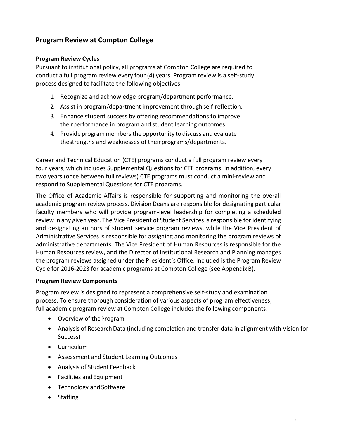# **Program Review at Compton College**

#### **Program Review Cycles**

Pursuant to institutional policy, all programs at Compton College are required to conduct a full program review every four (4) years. Program review is a self-study process designed to facilitate the following objectives:

- 1. Recognize and acknowledge program/department performance.
- 2. Assist in program/department improvement through self-reflection.
- 3. Enhance student success by offering recommendations to improve theirperformance in program and student learning outcomes.
- 4. Provide programmembersthe opportunity to discuss and evaluate thestrengths and weaknesses of their programs/departments.

Career and Technical Education (CTE) programs conduct a full program review every four years, which includes Supplemental Questions for CTE programs. In addition, every two years (once between full reviews) CTE programs must conduct a mini-review and respond to Supplemental Questions for CTE programs.

The Office of Academic Affairs is responsible for supporting and monitoring the overall academic program review process. Division Deans are responsible for designating particular faculty members who will provide program-level leadership for completing a scheduled review in any given year. The Vice President of Student Services is responsible for identifying and designating authors of student service program reviews, while the Vice President of Administrative Services is responsible for assigning and monitoring the program reviews of administrative departments. The Vice President of Human Resources is responsible for the Human Resources review, and the Director of Institutional Research and Planning manages the program reviews assigned under the President's Office. Included is the Program Review Cycle for 2016-2023 for academic programs at Compton College (see AppendixB).

#### **Program Review Components**

Program review is designed to represent a comprehensive self-study and examination process. To ensure thorough consideration of various aspects of program effectiveness, full academic program review at Compton College includes the following components:

- Overview of theProgram
- Analysis of Research Data (including completion and transfer data in alignment with Vision for Success)
- Curriculum
- Assessment and Student Learning Outcomes
- Analysis of Student Feedback
- Facilities and Equipment
- Technology and Software
- Staffing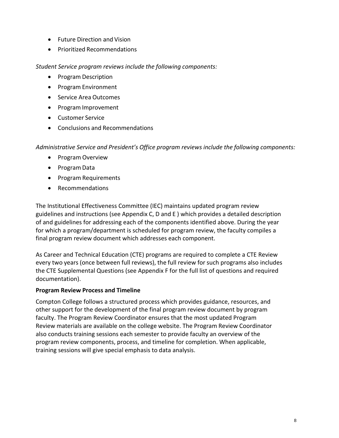- Future Direction and Vision
- Prioritized Recommendations

*Student Service program reviews include the following components:*

- Program Description
- Program Environment
- Service Area Outcomes
- Program Improvement
- Customer Service
- Conclusions and Recommendations

*Administrative Service and President's Office program reviews include the following components:*

- Program Overview
- Program Data
- Program Requirements
- Recommendations

The Institutional Effectiveness Committee (IEC) maintains updated program review guidelines and instructions (see Appendix C, D and E ) which provides a detailed description of and guidelines for addressing each of the components identified above. During the year for which a program/department is scheduled for program review, the faculty compiles a final program review document which addresses each component.

As Career and Technical Education (CTE) programs are required to complete a CTE Review every two years (once between full reviews), the full review for such programs also includes the CTE Supplemental Questions (see Appendix F for the full list of questions and required documentation).

#### **Program Review Process and Timeline**

Compton College follows a structured process which provides guidance, resources, and other support for the development of the final program review document by program faculty. The Program Review Coordinator ensures that the most updated Program Review materials are available on the college website. The Program Review Coordinator also conducts training sessions each semester to provide faculty an overview of the program review components, process, and timeline for completion. When applicable, training sessions will give special emphasis to data analysis.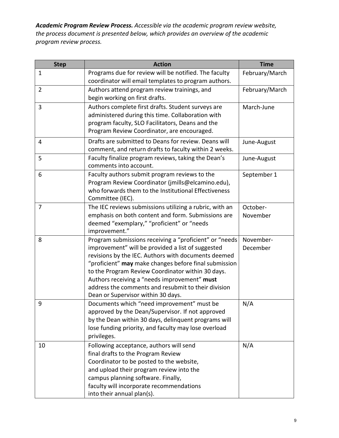*Academic Program Review Process. Accessible via the academic program review website, the process document is presented below, which provides an overview of the academic program review process.*

| <b>Step</b>    | <b>Action</b>                                                                                    | <b>Time</b>    |
|----------------|--------------------------------------------------------------------------------------------------|----------------|
| $\mathbf{1}$   | Programs due for review will be notified. The faculty                                            | February/March |
|                | coordinator will email templates to program authors.                                             |                |
| $\overline{2}$ | Authors attend program review trainings, and                                                     | February/March |
|                | begin working on first drafts.                                                                   |                |
| 3              | Authors complete first drafts. Student surveys are                                               | March-June     |
|                | administered during this time. Collaboration with                                                |                |
|                | program faculty, SLO Facilitators, Deans and the                                                 |                |
|                | Program Review Coordinator, are encouraged.                                                      |                |
| 4              | Drafts are submitted to Deans for review. Deans will                                             | June-August    |
|                | comment, and return drafts to faculty within 2 weeks.                                            |                |
| 5              | Faculty finalize program reviews, taking the Dean's                                              | June-August    |
|                | comments into account.                                                                           |                |
| 6              | Faculty authors submit program reviews to the                                                    | September 1    |
|                | Program Review Coordinator (jmills@elcamino.edu),                                                |                |
|                | who forwards them to the Institutional Effectiveness                                             |                |
|                | Committee (IEC).                                                                                 |                |
| $\overline{7}$ | The IEC reviews submissions utilizing a rubric, with an                                          | October-       |
|                | emphasis on both content and form. Submissions are<br>deemed "exemplary," "proficient" or "needs | November       |
|                | improvement."                                                                                    |                |
| 8              | Program submissions receiving a "proficient" or "needs                                           | November-      |
|                | improvement" will be provided a list of suggested                                                | December       |
|                | revisions by the IEC. Authors with documents deemed                                              |                |
|                | "proficient" may make changes before final submission                                            |                |
|                | to the Program Review Coordinator within 30 days.                                                |                |
|                | Authors receiving a "needs improvement" must                                                     |                |
|                | address the comments and resubmit to their division                                              |                |
|                | Dean or Supervisor within 30 days.                                                               |                |
| 9              | Documents which "need improvement" must be                                                       | N/A            |
|                | approved by the Dean/Supervisor. If not approved                                                 |                |
|                | by the Dean within 30 days, delinquent programs will                                             |                |
|                | lose funding priority, and faculty may lose overload                                             |                |
|                | privileges.                                                                                      |                |
| 10             | Following acceptance, authors will send                                                          | N/A            |
|                | final drafts to the Program Review                                                               |                |
|                | Coordinator to be posted to the website,<br>and upload their program review into the             |                |
|                | campus planning software. Finally,                                                               |                |
|                | faculty will incorporate recommendations                                                         |                |
|                | into their annual plan(s).                                                                       |                |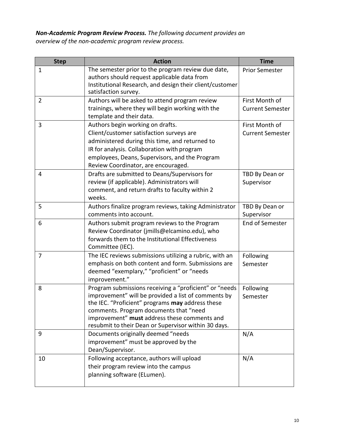# *Non-Academic Program Review Process. The following document provides an overview of the non-academic program review process.*

| <b>Step</b>    | <b>Action</b>                                                                                                                                                                                                                                                                                                       | <b>Time</b>                               |
|----------------|---------------------------------------------------------------------------------------------------------------------------------------------------------------------------------------------------------------------------------------------------------------------------------------------------------------------|-------------------------------------------|
| 1              | The semester prior to the program review due date,<br>authors should request applicable data from<br>Institutional Research, and design their client/customer<br>satisfaction survey.                                                                                                                               | <b>Prior Semester</b>                     |
| $\overline{2}$ | Authors will be asked to attend program review<br>trainings, where they will begin working with the<br>template and their data.                                                                                                                                                                                     | First Month of<br><b>Current Semester</b> |
| 3              | Authors begin working on drafts.<br>Client/customer satisfaction surveys are<br>administered during this time, and returned to<br>IR for analysis. Collaboration with program<br>employees, Deans, Supervisors, and the Program<br>Review Coordinator, are encouraged.                                              | First Month of<br><b>Current Semester</b> |
| 4              | Drafts are submitted to Deans/Supervisors for<br>review (if applicable). Administrators will<br>comment, and return drafts to faculty within 2<br>weeks.                                                                                                                                                            | TBD By Dean or<br>Supervisor              |
| 5              | Authors finalize program reviews, taking Administrator<br>comments into account.                                                                                                                                                                                                                                    | TBD By Dean or<br>Supervisor              |
| 6              | Authors submit program reviews to the Program<br>Review Coordinator (jmills@elcamino.edu), who<br>forwards them to the Institutional Effectiveness<br>Committee (IEC).                                                                                                                                              | End of Semester                           |
| $\overline{7}$ | The IEC reviews submissions utilizing a rubric, with an<br>emphasis on both content and form. Submissions are<br>deemed "exemplary," "proficient" or "needs<br>improvement."                                                                                                                                        | Following<br>Semester                     |
| 8              | Program submissions receiving a "proficient" or "needs<br>improvement" will be provided a list of comments by<br>the IEC. "Proficient" programs may address these<br>comments. Program documents that "need<br>improvement" must address these comments and<br>resubmit to their Dean or Supervisor within 30 days. | Following<br>Semester                     |
| 9              | Documents originally deemed "needs<br>improvement" must be approved by the<br>Dean/Supervisor.                                                                                                                                                                                                                      | N/A                                       |
| 10             | Following acceptance, authors will upload<br>their program review into the campus<br>planning software (ELumen).                                                                                                                                                                                                    | N/A                                       |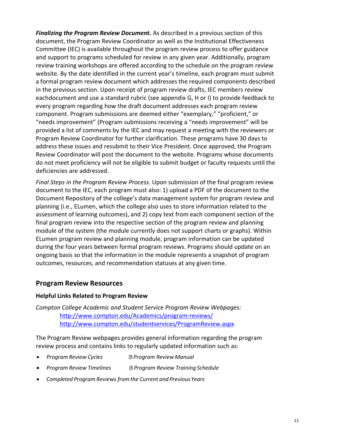*Finalizing the Program Review Document.* As described in a previous section of this document, the Program Review Coordinator as well as the Institutional Effectiveness Committee (IEC) is available throughout the program review process to offer guidance and support to programs scheduled for review in any given year. Additionally, program review training workshops are offered according to the schedule on the program review website. By the date identified in the current year's timeline, each program must submit a formal program review document which addresses the required components described in the previous section. Upon receipt of program review drafts, IEC members review eachdocument and use a standard rubric (see appendix G, H or I) to provide feedback to every program regarding how the draft document addresses each program review component. Program submissions are deemed either "exemplary," "proficient," or "needs improvement" (Program submissions receiving a "needs improvement" will be provided a list of comments by the IEC and may request a meeting with the reviewers or Program Review Coordinator for further clarification. These programs have 30 days to address these issues and resubmit to their Vice President. Once approved, the Program Review Coordinator will post the document to the website. Programs whose documents do not meet proficiency will not be eligible to submit budget or faculty requests until the deficiencies are addressed.

*Final Steps in the Program Review Process.* Upon submission of the final program review document to the IEC, each program must also: 1) upload a PDF of the document to the Document Repository of the college's data management system for program review and planning (i.e., ELumen, which the college also uses to store information related to the assessment of learning outcomes), and 2) copy text from each component section of the final program review into the respective section of the program review and planning module of the system (the module currently does not support charts or graphs). Within ELumen program review and planning module, program information can be updated during the four years between formal program reviews. Programs should update on an ongoing basis so that the information in the module represents a snapshot of program outcomes, resources, and recommendation statuses at any given time.

#### **Program Review Resources**

#### **Helpful Links Related to Program Review**

*Compton College Academic and Student Service Program Review Webpages:* <http://www.compton.edu/Academics/program-reviews/> <http://www.compton.edu/studentservices/ProgramReview.aspx>

The Program Review webpages provides general information regarding the program review process and contains links to regularly updated information such as:

- *Program Review Cycles Program Review Manual*
- *Program Review Timelines Program Review Training Schedule*
- *Completed Program Reviews fromthe Current and Previous Years*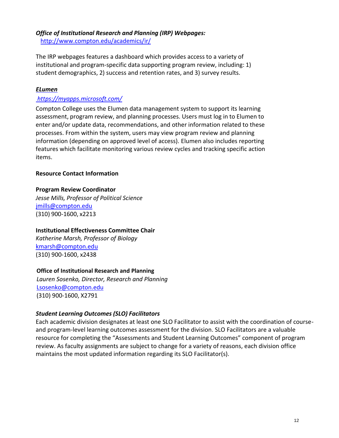# *Office of Institutional Research and Planning (IRP) Webpages:*

<http://www.compton.edu/academics/ir/>

The IRP webpages features a dashboard which provides access to a variety of institutional and program-specific data supporting program review, including: 1) student demographics, 2) success and retention rates, and 3) survey results.

#### *[ELumen](https://elcamino.tracdat.com/tracdat/)*

#### *https://myapps.microsoft.com/*

Compton College uses the Elumen data management system to support its learning assessment, program review, and planning processes. Users must log in to Elumen to enter and/or update data, recommendations, and other information related to these processes. From within the system, users may view program review and planning information (depending on approved level of access). Elumen also includes reporting features which facilitate monitoring various review cycles and tracking specific action items.

#### **Resource Contact Information**

#### **Program Review Coordinator**

*Jesse Mills, Professor of Political Science* [jmills@compton.edu](mailto:jmills@compton.edu) (310) 900-1600, x2213

#### **Institutional Effectiveness Committee Chair**

*[Katherine Marsh, Professor of Biology](mailto:lclowers@elcamino.edu)* [kmarsh@compton.edu](mailto:kmarsh@compton.edu) (310) 900-1600, x2438

#### **Office of Institutional Research and Planning**

*Lauren Sosenko, Director, Research and Planning* [Lsosenko@compton.edu](mailto:Lsosenko@compton.edu) (310) 900-1600, X2791

#### *Student Learning Outcomes (SLO) Facilitators*

Each academic division designates at least one SLO Facilitator to assist with the coordination of courseand program-level learning outcomes assessment for the division. SLO Facilitators are a valuable resource for completing the "Assessments and Student Learning Outcomes" component of program review. As faculty assignments are subject to change for a variety of reasons, each division office maintains the most updated information regarding its SLO Facilitator(s).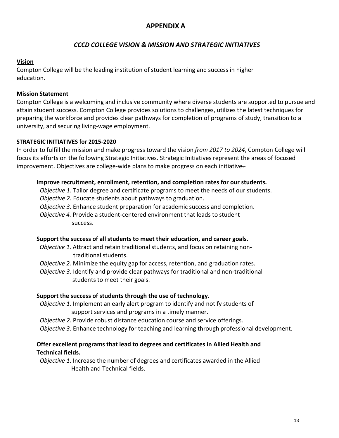# **APPENDIX A**

# *CCCD COLLEGE VISION & MISSION AND STRATEGIC INITIATIVES*

#### **Vision**

Compton College will be the leading institution of student learning and success in higher education.

#### **Mission Statement**

Compton College is a welcoming and inclusive community where diverse students are supported to pursue and attain student success. Compton College provides solutions to challenges, utilizes the latest techniques for preparing the workforce and provides clear pathways for completion of programs of study, transition to a university, and securing living-wage employment.

#### **STRATEGIC INITIATIVES for 2015-2020**

In order to fulfill the mission and make progress toward the vision *from 2017 to 2024*, Compton College will focus its efforts on the following Strategic Initiatives. Strategic Initiatives represent the areas of focused improvement. Objectives are college-wide plans to make progress on each initiative-

#### **Improve recruitment, enrollment, retention, and completion rates for our students.**

*Objective 1*. Tailor degree and certificate programs to meet the needs of our students.

*Objective 2.* Educate students about pathways to graduation.

- *Objective 3*. Enhance student preparation for academic success and completion.
- *Objective 4.* Provide a student-centered environment that leads to student success.

#### **Support the success of all students to meet their education, and career goals.**

- *Objective 1*. Attract and retain traditional students, and focus on retaining nontraditional students.
- *Objective 2.* Minimize the equity gap for access, retention, and graduation rates.
- *Objective 3.* Identify and provide clear pathways for traditional and non-traditional students to meet their goals.

#### **Support the success of students through the use of technology.**

- *Objective 1*. Implement an early alert program to identify and notify students of support services and programs in a timely manner.
- *Objective 2.* Provide robust distance education course and service offerings.
- *Objective 3.* Enhance technology for teaching and learning through professional development.

#### **Offer excellent programs that lead to degrees and certificates in Allied Health and Technical fields.**

*Objective 1*. Increase the number of degrees and certificates awarded in the Allied Health and Technical fields.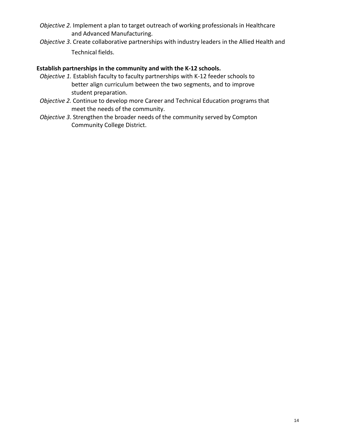- *Objective 2.* Implement a plan to target outreach of working professionals in Healthcare and Advanced Manufacturing.
- *Objective 3*. Create collaborative partnerships with industry leaders in the Allied Health and Technical fields.

#### **Establish partnerships in the community and with the K-12 schools.**

- *Objective 1.* Establish faculty to faculty partnerships with K-12 feeder schools to better align curriculum between the two segments, and to improve student preparation.
- *Objective 2.* Continue to develop more Career and Technical Education programs that meet the needs of the community.
- *Objective 3*. Strengthen the broader needs of the community served by Compton Community College District.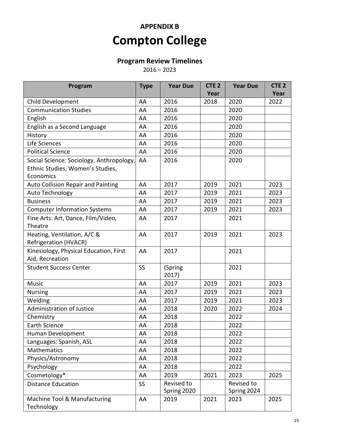# **APPENDIX B Compton College**

# **Program Review Timelines**

 $2016 - 2023$ 

| Program                                  | <b>Type</b>     | <b>Year Due</b> | CTE <sub>2</sub> | <b>Year Due</b> | CTE <sub>2</sub> |
|------------------------------------------|-----------------|-----------------|------------------|-----------------|------------------|
|                                          |                 |                 | Year             |                 | Year             |
| <b>Child Development</b>                 | AA              | 2016            | 2018             | 2020            | 2022             |
| <b>Communication Studies</b>             | AA              | 2016            |                  | 2020            |                  |
| English                                  | AA              | 2016            |                  | 2020            |                  |
| English as a Second Language             | AA              | 2016            |                  | 2020            |                  |
| History                                  | AA              | 2016            |                  | 2020            |                  |
| Life Sciences                            | AA              | 2016            |                  | 2020            |                  |
| <b>Political Science</b>                 | AA              | 2016            |                  | 2020            |                  |
| Social Science: Sociology, Anthropology, | AA              | 2016            |                  | 2020            |                  |
| Ethnic Studies, Women's Studies,         |                 |                 |                  |                 |                  |
| Economics                                |                 |                 |                  |                 |                  |
| Auto Collision Repair and Painting       | AA              | 2017            | 2019             | 2021            | 2023             |
| Auto Technology                          | AA              | 2017            | 2019             | 2021            | 2023             |
| <b>Business</b>                          | AA              | 2017            | 2019             | 2021            | 2023             |
| <b>Computer Information Systems</b>      | AA              | 2017            | 2019             | 2021            | 2023             |
| Fine Arts: Art, Dance, Film/Video,       | AA              | 2017            |                  | 2021            |                  |
| Theatre                                  |                 |                 |                  |                 |                  |
| Heating, Ventilation, A/C &              | AA              | 2017            | 2019             | 2021            | 2023             |
| <b>Refrigeration (HVACR)</b>             |                 |                 |                  |                 |                  |
| Kinesiology, Physical Education, First   | AA              | 2017            |                  | 2021            |                  |
| Aid, Recreation                          |                 |                 |                  |                 |                  |
| <b>Student Success Center</b>            | <b>SS</b>       | (Spring         |                  | 2021            |                  |
|                                          |                 | 2017)           |                  |                 |                  |
| Music                                    | AA              | 2017            | 2019             | 2021            | 2023             |
| <b>Nursing</b>                           | AA              | 2017            | 2019             | 2021            | 2023             |
| Welding                                  | AA              | 2017            | 2019             | 2021            | 2023             |
| <b>Administration of Justice</b>         | AA              | 2018            | 2020             | 2022            | 2024             |
| Chemistry                                | AA              | 2018            |                  | 2022            |                  |
| <b>Earth Science</b>                     | AA              | 2018            |                  | 2022            |                  |
| Human Development                        | AA              | 2018            |                  | 2022            |                  |
| Languages: Spanish, ASL                  | AA              | 2018            |                  | 2022            |                  |
| Mathematics                              | AA              | 2018            |                  | 2022            |                  |
| Physics/Astronomy                        | AA              | 2018            |                  | 2022            |                  |
| Psychology                               | AA              | 2018            |                  | 2022            |                  |
| Cosmetology*                             | AA              | 2019            | 2021             | 2023            | 2025             |
| <b>Distance Education</b>                | SS <sub>1</sub> | Revised to      |                  | Revised to      |                  |
|                                          |                 | Spring 2020     |                  | Spring 2024     |                  |
| Machine Tool & Manufacturing             | AA              | 2019            | 2021             | 2023            | 2025             |
| Technology                               |                 |                 |                  |                 |                  |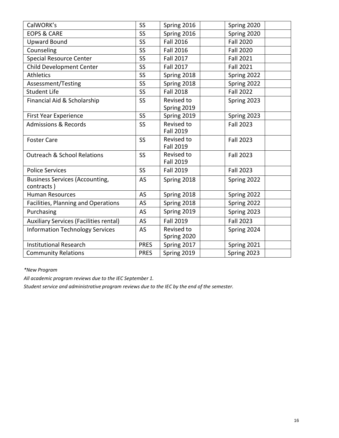| CalWORK's                                           | <b>SS</b>   | Spring 2016                    | Spring 2020      |
|-----------------------------------------------------|-------------|--------------------------------|------------------|
| <b>EOPS &amp; CARE</b>                              | <b>SS</b>   | Spring 2016                    | Spring 2020      |
| <b>Upward Bound</b>                                 | <b>SS</b>   | <b>Fall 2016</b>               | <b>Fall 2020</b> |
| Counseling                                          | <b>SS</b>   | <b>Fall 2016</b>               | <b>Fall 2020</b> |
| <b>Special Resource Center</b>                      | SS          | <b>Fall 2017</b>               | <b>Fall 2021</b> |
| <b>Child Development Center</b>                     | <b>SS</b>   | <b>Fall 2017</b>               | <b>Fall 2021</b> |
| <b>Athletics</b>                                    | <b>SS</b>   | Spring 2018                    | Spring 2022      |
| Assessment/Testing                                  | <b>SS</b>   | Spring 2018                    | Spring 2022      |
| <b>Student Life</b>                                 | <b>SS</b>   | <b>Fall 2018</b>               | <b>Fall 2022</b> |
| Financial Aid & Scholarship                         | <b>SS</b>   | Revised to<br>Spring 2019      | Spring 2023      |
| <b>First Year Experience</b>                        | <b>SS</b>   | Spring 2019                    | Spring 2023      |
| <b>Admissions &amp; Records</b>                     | <b>SS</b>   | Revised to<br><b>Fall 2019</b> | <b>Fall 2023</b> |
| <b>Foster Care</b>                                  | <b>SS</b>   | Revised to<br><b>Fall 2019</b> | <b>Fall 2023</b> |
| <b>Outreach &amp; School Relations</b>              | <b>SS</b>   | Revised to<br><b>Fall 2019</b> | <b>Fall 2023</b> |
| <b>Police Services</b>                              | <b>SS</b>   | <b>Fall 2019</b>               | <b>Fall 2023</b> |
| <b>Business Services (Accounting,</b><br>contracts) | <b>AS</b>   | Spring 2018                    | Spring 2022      |
| <b>Human Resources</b>                              | AS          | Spring 2018                    | Spring 2022      |
| Facilities, Planning and Operations                 | AS          | Spring 2018                    | Spring 2022      |
| Purchasing                                          | AS          | Spring 2019                    | Spring 2023      |
| Auxiliary Services (Facilities rental)              | <b>AS</b>   | <b>Fall 2019</b>               | <b>Fall 2023</b> |
| <b>Information Technology Services</b>              | <b>AS</b>   | Revised to<br>Spring 2020      | Spring 2024      |
| <b>Institutional Research</b>                       | <b>PRES</b> | Spring 2017                    | Spring 2021      |
| <b>Community Relations</b>                          | <b>PRES</b> | Spring 2019                    | Spring 2023      |

*\*New Program*

*All academic program reviews due to the IEC September 1.*

*Student service and administrative program reviews due to the IEC by the end of the semester.*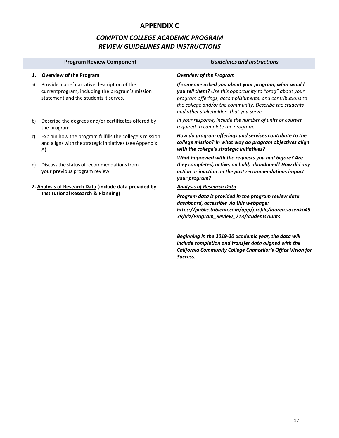# **APPENDIX C**

# *COMPTON COLLEGE ACADEMIC PROGRAM REVIEW GUIDELINES AND INSTRUCTIONS*

|    | <b>Program Review Component</b>                                                                                                          | <b>Guidelines and Instructions</b>                                                                                                                                                                                                                                                                                                                                                                                                    |
|----|------------------------------------------------------------------------------------------------------------------------------------------|---------------------------------------------------------------------------------------------------------------------------------------------------------------------------------------------------------------------------------------------------------------------------------------------------------------------------------------------------------------------------------------------------------------------------------------|
| 1. | <b>Overview of the Program</b>                                                                                                           | <b>Overview of the Program</b>                                                                                                                                                                                                                                                                                                                                                                                                        |
| a) | Provide a brief narrative description of the<br>currentprogram, including the program's mission<br>statement and the students it serves. | If someone asked you about your program, what would<br>you tell them? Use this opportunity to "brag" about your<br>program offerings, accomplishments, and contributions to<br>the college and/or the community. Describe the students<br>and other stakeholders that you serve.                                                                                                                                                      |
| b) | Describe the degrees and/or certificates offered by<br>the program.                                                                      | In your response, include the number of units or courses<br>required to complete the program.                                                                                                                                                                                                                                                                                                                                         |
| c) | Explain how the program fulfills the college's mission<br>and aligns with the strategic initiatives (see Appendix<br>A).                 | How do program offerings and services contribute to the<br>college mission? In what way do program objectives align<br>with the college's strategic initiatives?                                                                                                                                                                                                                                                                      |
| d) | Discuss the status of recommendations from<br>your previous program review.                                                              | What happened with the requests you had before? Are<br>they completed, active, on hold, abandoned? How did any<br>action or inaction on the past recommendations impact<br>your program?                                                                                                                                                                                                                                              |
|    | 2. Analysis of Research Data (include data provided by<br><b>Institutional Research &amp; Planning)</b>                                  | <b>Analysis of Research Data</b><br>Program data is provided in the program review data<br>dashboard, accessible via this webpage:<br>https://public.tableau.com/app/profile/lauren.sosenko49<br>79/viz/Program_Review_213/StudentCounts<br>Beginning in the 2019-20 academic year, the data will<br>include completion and transfer data aligned with the<br>California Community College Chancellor's Office Vision for<br>Success. |
|    |                                                                                                                                          |                                                                                                                                                                                                                                                                                                                                                                                                                                       |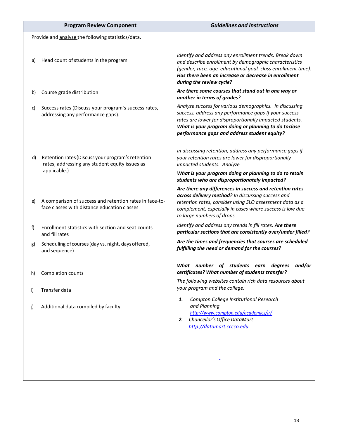|    | <b>Program Review Component</b>                                                                         | <b>Guidelines and Instructions</b>                                                                                                                                                                                                                                                   |
|----|---------------------------------------------------------------------------------------------------------|--------------------------------------------------------------------------------------------------------------------------------------------------------------------------------------------------------------------------------------------------------------------------------------|
|    | Provide and analyze the following statistics/data.                                                      |                                                                                                                                                                                                                                                                                      |
| a) | Head count of students in the program                                                                   | Identify and address any enrollment trends. Break down<br>and describe enrollment by demographic characteristics<br>(gender, race, age, educational goal, class enrollment time).<br>Has there been an increase or decrease in enrollment<br>during the review cycle?                |
| b) | Course grade distribution                                                                               | Are there some courses that stand out in one way or<br>another in terms of grades?                                                                                                                                                                                                   |
| c) | Success rates (Discuss your program's success rates,<br>addressing any performance gaps).               | Analyze success for various demographics. In discussing<br>success, address any performance gaps If your success<br>rates are lower for disproportionally impacted students.<br>What is your program doing or planning to do toclose<br>performance gaps and address student equity? |
| d) | Retention rates (Discuss your program's retention<br>rates, addressing any student equity issues as     | In discussing retention, address any performance gaps if<br>your retention rates are lower for disproportionally<br>impacted students. Analyze                                                                                                                                       |
|    | applicable.)                                                                                            | What is your program doing or planning to do to retain<br>students who are disproportionately impacted?                                                                                                                                                                              |
| e) | A comparison of success and retention rates in face-to-<br>face classes with distance education classes | Are there any differences in success and retention rates<br>across delivery method? In discussing success and<br>retention rates, consider using SLO assessment data as a<br>complement, especially in cases where success is low due<br>to large numbers of drops.                  |
| f  | Enrollment statistics with section and seat counts<br>and fill rates                                    | Identify and address any trends in fill rates. Are there<br>particular sections that are consistently over/under filled?                                                                                                                                                             |
| g) | Scheduling of courses (day vs. night, days offered,<br>and sequence)                                    | Are the times and frequencies that courses are scheduled<br>fulfilling the need or demand for the courses?                                                                                                                                                                           |
| h) | Completion counts                                                                                       | students<br>and/or<br>What<br>number<br>οf<br>degrees<br>earn<br>certificates? What number of students transfer?                                                                                                                                                                     |
| i) | Transfer data                                                                                           | The following websites contain rich data resources about<br>your program and the college:                                                                                                                                                                                            |
| j) | Additional data compiled by faculty                                                                     | Compton College Institutional Research<br>1.<br>and Planning<br>http://www.compton.edu/academics/ir/<br>Chancellor's Office DataMart<br>2.<br>http://datamart.cccco.edu                                                                                                              |
|    |                                                                                                         |                                                                                                                                                                                                                                                                                      |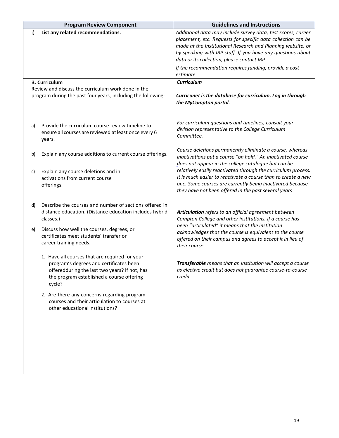|    | <b>Program Review Component</b>                                                                                                                                                                   | <b>Guidelines and Instructions</b>                                                                                                                                                                                                                                                                                                                                  |
|----|---------------------------------------------------------------------------------------------------------------------------------------------------------------------------------------------------|---------------------------------------------------------------------------------------------------------------------------------------------------------------------------------------------------------------------------------------------------------------------------------------------------------------------------------------------------------------------|
| j) | List any related recommendations.                                                                                                                                                                 | Additional data may include survey data, test scores, career<br>placement, etc. Requests for specific data collection can be<br>made at the Institutional Research and Planning website, or<br>by speaking with IRP staff. If you have any questions about<br>data or its collection, please contact IRP.<br>If the recommendation requires funding, provide a cost |
|    |                                                                                                                                                                                                   | estimate.                                                                                                                                                                                                                                                                                                                                                           |
|    | 3. Curriculum<br>Review and discuss the curriculum work done in the<br>program during the past four years, including the following:                                                               | <b>Curriculum</b><br>Curricunet is the database for curriculum. Log in through<br>the MyCompton portal.                                                                                                                                                                                                                                                             |
| a) | Provide the curriculum course review timeline to<br>ensure all courses are reviewed at least once every 6<br>years.                                                                               | For curriculum questions and timelines, consult your<br>division representative to the College Curriculum<br>Committee.                                                                                                                                                                                                                                             |
| b) | Explain any course additions to current course offerings.                                                                                                                                         | Course deletions permanently eliminate a course, whereas<br>inactivations put a course "on hold." An inactivated course<br>does not appear in the college catalogue but can be                                                                                                                                                                                      |
| c) | Explain any course deletions and in<br>activations from current course<br>offerings.                                                                                                              | relatively easily reactivated through the curriculum process.<br>It is much easier to reactivate a course than to create a new<br>one. Some courses are currently being inactivated because<br>they have not been offered in the past several years                                                                                                                 |
| d) | Describe the courses and number of sections offered in<br>distance education. (Distance education includes hybrid<br>classes.)                                                                    | Articulation refers to an official agreement between<br>Compton College and other institutions. If a course has<br>been "articulated" it means that the institution                                                                                                                                                                                                 |
| e) | Discuss how well the courses, degrees, or<br>certificates meet students' transfer or<br>career training needs.                                                                                    | acknowledges that the course is equivalent to the course<br>offered on their campus and agrees to accept it in lieu of<br>their course.                                                                                                                                                                                                                             |
|    | 1. Have all courses that are required for your<br>program's degrees and certificates been<br>offeredduring the last two years? If not, has<br>the program established a course offering<br>cycle? | Transferable means that an institution will accept a course<br>as elective credit but does not guarantee course-to-course<br>credit.                                                                                                                                                                                                                                |
|    | 2. Are there any concerns regarding program<br>courses and their articulation to courses at<br>other educational institutions?                                                                    |                                                                                                                                                                                                                                                                                                                                                                     |
|    |                                                                                                                                                                                                   |                                                                                                                                                                                                                                                                                                                                                                     |
|    |                                                                                                                                                                                                   |                                                                                                                                                                                                                                                                                                                                                                     |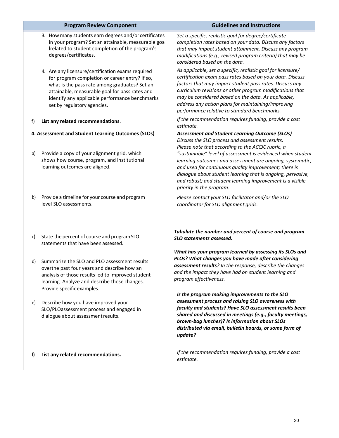|    | <b>Program Review Component</b>                                                                                                                                                                                                                                                         | <b>Guidelines and Instructions</b>                                                                                                                                                                                                                                                                                                                                                                                                                                                                         |
|----|-----------------------------------------------------------------------------------------------------------------------------------------------------------------------------------------------------------------------------------------------------------------------------------------|------------------------------------------------------------------------------------------------------------------------------------------------------------------------------------------------------------------------------------------------------------------------------------------------------------------------------------------------------------------------------------------------------------------------------------------------------------------------------------------------------------|
|    | 3. How many students earn degrees and/or certificates<br>in your program? Set an attainable, measurable goa<br>Irelated to student completion of the program's<br>degrees/certificates.                                                                                                 | Set a specific, realistic goal for degree/certificate<br>completion rates based on your data. Discuss any factors<br>that may impact student attainment. Discuss any program<br>modifications (e.g., revised program criteria) that may be<br>considered based on the data.                                                                                                                                                                                                                                |
|    | 4. Are any licensure/certification exams required<br>for program completion or career entry? If so,<br>what is the pass rate among graduates? Set an<br>attainable, measurable goal for pass rates and<br>identify any applicable performance benchmarks<br>set by regulatory agencies. | As applicable, set a specific, realistic goal for licensure/<br>certification exam pass rates based on your data. Discuss<br>factors that may impact student pass rates. Discuss any<br>curriculum revisions or other program modifications that<br>may be considered based on the data. As applicable,<br>address any action plans for maintaining/improving<br>performance relative to standard benchmarks.                                                                                              |
| f) | List any related recommendations.                                                                                                                                                                                                                                                       | If the recommendation requires funding, provide a cost<br>estimate.                                                                                                                                                                                                                                                                                                                                                                                                                                        |
| a) | 4. Assessment and Student Learning Outcomes (SLOs)<br>Provide a copy of your alignment grid, which<br>shows how course, program, and institutional<br>learning outcomes are aligned.                                                                                                    | <b>Assessment and Student Learning Outcome (SLOs)</b><br>Discuss the SLO process and assessment results.<br>Please note that according to the ACCJC rubric, a<br>"sustainable" level of assessment is evidenced when student<br>learning outcomes and assessment are ongoing, systematic,<br>and used for continuous quality improvement; there is<br>dialogue about student learning that is ongoing, pervasive,<br>and robust; and student learning improvement is a visible<br>priority in the program. |
| b) | Provide a timeline for your course and program<br>level SLO assessments.                                                                                                                                                                                                                | Please contact your SLO facilitator and/or the SLO<br>coordinator for SLO alignment grids.                                                                                                                                                                                                                                                                                                                                                                                                                 |
| c) | State the percent of course and program SLO<br>statements that have been assessed.                                                                                                                                                                                                      | Tabulate the number and percent of course and program<br><b>SLO statements assessed.</b>                                                                                                                                                                                                                                                                                                                                                                                                                   |
| d) | Summarize the SLO and PLO assessment results<br>overthe past four years and describe how an<br>analysis of those results led to improved student<br>learning. Analyze and describe those changes.<br>Provide specific examples.                                                         | What has your program learned by assessing its SLOs and<br>PLOs? What changes you have made after considering<br>assessment results? In the response, describe the changes<br>and the impact they have had on student learning and<br>program effectiveness.                                                                                                                                                                                                                                               |
| e) | Describe how you have improved your<br>SLO/PLOassessment process and engaged in<br>dialogue about assessment results.                                                                                                                                                                   | Is the program making improvements to the SLO<br>assessment process and raising SLO awareness with<br>faculty and students? Have SLO assessment results been<br>shared and discussed in meetings (e.g., faculty meetings,<br>brown-bag lunches)? Is information about SLOs<br>distributed via email, bulletin boards, or some form of<br>update?                                                                                                                                                           |
| f) | List any related recommendations.                                                                                                                                                                                                                                                       | If the recommendation requires funding, provide a cost<br>estimate.                                                                                                                                                                                                                                                                                                                                                                                                                                        |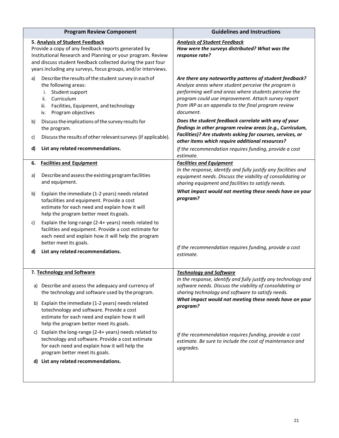|                                | <b>Program Review Component</b>                                                                                                                                                                                                                                                       | <b>Guidelines and Instructions</b>                                                                                                                                                                                                                                                                |
|--------------------------------|---------------------------------------------------------------------------------------------------------------------------------------------------------------------------------------------------------------------------------------------------------------------------------------|---------------------------------------------------------------------------------------------------------------------------------------------------------------------------------------------------------------------------------------------------------------------------------------------------|
|                                | 5. Analysis of Student Feedback<br>Provide a copy of any feedback reports generated by<br>Institutional Research and Planning or your program. Review<br>and discuss student feedback collected during the past four<br>years including any surveys, focus groups, and/or interviews. | <b>Analysis of Student Feedback</b><br>How were the surveys distributed? What was the<br>response rate?                                                                                                                                                                                           |
| a)<br>i.<br>ii.<br>iii.<br>iv. | Describe the results of the student survey in each of<br>the following areas:<br>Student support<br>Curriculum<br>Facilities, Equipment, and technology<br>Program objectives                                                                                                         | Are there any noteworthy patterns of student feedback?<br>Analyze areas where student perceive the program is<br>performing well and areas where students perceive the<br>program could use improvement. Attach survey report<br>from IRP as an appendix to the final program review<br>document. |
| b)                             | Discuss the implications of the survey results for<br>the program.                                                                                                                                                                                                                    | Does the student feedback correlate with any of your<br>findings in other program review areas (e.g., Curriculum,<br>Facilities)? Are students asking for courses, services, or                                                                                                                   |
| c)                             | Discuss the results of other relevant surveys (if applicable).                                                                                                                                                                                                                        | other items which require additional resources?                                                                                                                                                                                                                                                   |
| d)                             | List any related recommendations.                                                                                                                                                                                                                                                     | If the recommendation requires funding, provide a cost<br>estimate.                                                                                                                                                                                                                               |
| 6.                             | <b>Facilities and Equipment</b>                                                                                                                                                                                                                                                       | <b>Facilities and Equipment</b>                                                                                                                                                                                                                                                                   |
| a)                             | Describe and assess the existing program facilities<br>and equipment.                                                                                                                                                                                                                 | In the response, identify and fully justify any facilities and<br>equipment needs. Discuss the viability of consolidating or<br>sharing equipment and facilities to satisfy needs.                                                                                                                |
| b)                             | Explain the immediate (1-2 years) needs related<br>tofacilities and equipment. Provide a cost<br>estimate for each need and explain how it will<br>help the program better meet its goals.                                                                                            | What impact would not meeting these needs have on your<br>program?                                                                                                                                                                                                                                |
| C)                             | Explain the long-range (2-4+ years) needs related to<br>facilities and equipment. Provide a cost estimate for<br>each need and explain how it will help the program<br>better meet its goals.                                                                                         |                                                                                                                                                                                                                                                                                                   |
| d)                             | List any related recommendations.                                                                                                                                                                                                                                                     | If the recommendation requires funding, provide a cost<br>estimate.                                                                                                                                                                                                                               |
|                                | 7. Technology and Software                                                                                                                                                                                                                                                            | <b>Technology and Software</b>                                                                                                                                                                                                                                                                    |
| a)                             | Describe and assess the adequacy and currency of<br>the technology and software used by the program.                                                                                                                                                                                  | In the response, identify and fully justify any technology and<br>software needs. Discuss the viability of consolidating or<br>sharing technology and software to satisfy needs.                                                                                                                  |
|                                | b) Explain the immediate (1-2 years) needs related<br>totechnology and software. Provide a cost<br>estimate for each need and explain how it will<br>help the program better meet its goals.                                                                                          | What impact would not meeting these needs have on your<br>program?                                                                                                                                                                                                                                |
| C)                             | Explain the long-range (2-4+ years) needs related to<br>technology and software. Provide a cost estimate<br>for each need and explain how it will help the<br>program better meet its goals.                                                                                          | If the recommendation requires funding, provide a cost<br>estimate. Be sure to include the cost of maintenance and<br>upgrades.                                                                                                                                                                   |
|                                | d) List any related recommendations.                                                                                                                                                                                                                                                  |                                                                                                                                                                                                                                                                                                   |
|                                |                                                                                                                                                                                                                                                                                       |                                                                                                                                                                                                                                                                                                   |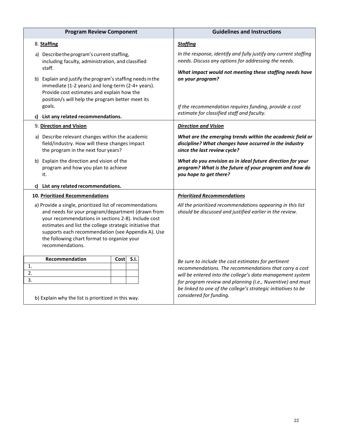| <b>Program Review Component</b>                                                                                                                                                                                                                                                                                                                           | <b>Guidelines and Instructions</b>                                                                                                                                                  |
|-----------------------------------------------------------------------------------------------------------------------------------------------------------------------------------------------------------------------------------------------------------------------------------------------------------------------------------------------------------|-------------------------------------------------------------------------------------------------------------------------------------------------------------------------------------|
| 8. Staffing                                                                                                                                                                                                                                                                                                                                               | <b>Staffing</b>                                                                                                                                                                     |
| a) Describe the program's current staffing,<br>including faculty, administration, and classified<br>staff.                                                                                                                                                                                                                                                | In the response, identify and fully justify any current staffing<br>needs. Discuss any options for addressing the needs.<br>What impact would not meeting these staffing needs have |
| b) Explain and justify the program's staffing needs in the<br>immediate (1-2 years) and long-term (2-4+ years).<br>Provide cost estimates and explain how the<br>position/s will help the program better meet its<br>goals.                                                                                                                               | on your program?<br>If the recommendation requires funding, provide a cost                                                                                                          |
| c) List any related recommendations.                                                                                                                                                                                                                                                                                                                      | estimate for classified staff and faculty.                                                                                                                                          |
| 9. Direction and Vision                                                                                                                                                                                                                                                                                                                                   | <b>Direction and Vision</b>                                                                                                                                                         |
| a) Describe relevant changes within the academic<br>field/industry. How will these changes impact<br>the program in the next four years?                                                                                                                                                                                                                  | What are the emerging trends within the academic field or<br>discipline? What changes have occurred in the industry<br>since the last review cycle?                                 |
| b) Explain the direction and vision of the<br>program and how you plan to achieve<br>it.                                                                                                                                                                                                                                                                  | What do you envision as in ideal future direction for your<br>program? What is the future of your program and how do<br>you hope to get there?                                      |
| List any related recommendations.                                                                                                                                                                                                                                                                                                                         |                                                                                                                                                                                     |
| 10. Prioritized Recommendations                                                                                                                                                                                                                                                                                                                           | <b>Prioritized Recommendations</b>                                                                                                                                                  |
| a) Provide a single, prioritized list of recommendations<br>and needs for your program/department (drawn from<br>your recommendations in sections 2-8). Include cost<br>estimates and list the college strategic initiative that<br>supports each recommendation (see Appendix A). Use<br>the following chart format to organize your<br>recommendations. | All the prioritized recommendations appearing in this list<br>should be discussed and justified earlier in the review.                                                              |
| <b>Recommendation</b><br>S.I.<br>Costl                                                                                                                                                                                                                                                                                                                    | Be sure to include the cost estimates for pertinent                                                                                                                                 |
| 1.<br>2.                                                                                                                                                                                                                                                                                                                                                  | recommendations. The recommendations that carry a cost                                                                                                                              |
| 3.                                                                                                                                                                                                                                                                                                                                                        | will be entered into the college's data management system<br>for program review and planning (i.e., Nuventive) and must                                                             |
| b) Explain why the list is prioritized in this way.                                                                                                                                                                                                                                                                                                       | be linked to one of the college's strategic initiatives to be<br>considered for funding.                                                                                            |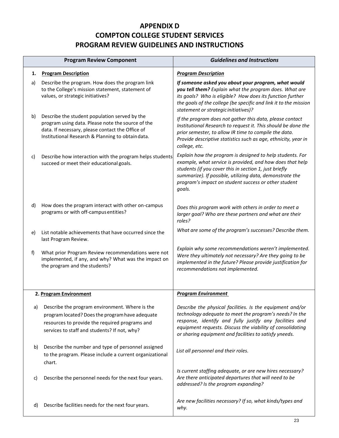# **APPENDIX D COMPTON COLLEGE STUDENT SERVICES PROGRAM REVIEW GUIDELINES AND INSTRUCTIONS**

|    | <b>Program Review Component</b>                                                                                                                                                                            | <b>Guidelines and Instructions</b>                                                                                                                                                                                                                                                                             |
|----|------------------------------------------------------------------------------------------------------------------------------------------------------------------------------------------------------------|----------------------------------------------------------------------------------------------------------------------------------------------------------------------------------------------------------------------------------------------------------------------------------------------------------------|
| 1. | <b>Program Description</b>                                                                                                                                                                                 | <b>Program Description</b>                                                                                                                                                                                                                                                                                     |
| a) | Describe the program. How does the program link<br>to the College's mission statement, statement of<br>values, or strategic initiatives?                                                                   | If someone asked you about your program, what would<br>you tell them? Explain what the program does. What are<br>its goals? Who is eligible? How does its function further<br>the goals of the college (be specific and link it to the mission<br>statement or strategic initiatives)?                         |
| b) | Describe the student population served by the<br>program using data. Please note the source of the<br>data. If necessary, please contact the Office of<br>Institutional Research & Planning to obtaindata. | If the program does not gather this data, please contact<br>Institutional Research to request it. This should be done the<br>prior semester, to allow IR time to compile the data.<br>Provide descriptive statistics such as age, ethnicity, year in<br>college, etc.                                          |
| c) | Describe how interaction with the program helps students<br>succeed or meet their educational goals.                                                                                                       | Explain how the program is designed to help students. For<br>example, what service is provided, and how does that help<br>students (if you cover this in section 1, just briefly<br>summarize). If possible, utilizing data, demonstrate the<br>program's impact on student success or other student<br>goals. |
| d) | How does the program interact with other on-campus<br>programs or with off-campus entities?                                                                                                                | Does this program work with others in order to meet a<br>larger goal? Who are these partners and what are their<br>roles?                                                                                                                                                                                      |
| e) | List notable achievements that have occurred since the<br>last Program Review.                                                                                                                             | What are some of the program's successes? Describe them.                                                                                                                                                                                                                                                       |
| f) | What prior Program Review recommendations were not<br>implemented, if any, and why? What was the impact on<br>the program and the students?                                                                | Explain why some recommendations weren't implemented.<br>Were they ultimately not necessary? Are they going to be<br>implemented in the future? Please provide justification for<br>recommendations not implemented.                                                                                           |
|    | 2. Program Environment                                                                                                                                                                                     | <b>Program Environment</b>                                                                                                                                                                                                                                                                                     |
| a) | Describe the program environment. Where is the<br>program located? Does the program have adequate<br>resources to provide the required programs and<br>services to staff and students? If not, why?        | Describe the physical facilities. Is the equipment and/or<br>technology adequate to meet the program's needs? In the<br>response, identify and fully justify any facilities and<br>equipment requests. Discuss the viability of consolidating<br>or sharing equipment and facilities to satisfy yneeds.        |
| b) | Describe the number and type of personnel assigned<br>to the program. Please include a current organizational<br>chart.                                                                                    | List all personnel and their roles.                                                                                                                                                                                                                                                                            |
| C) | Describe the personnel needs for the next four years.                                                                                                                                                      | Is current staffing adequate, or are new hires necessary?<br>Are there anticipated departures that will need to be<br>addressed? Is the program expanding?                                                                                                                                                     |
| d) | Describe facilities needs for the next four years.                                                                                                                                                         | Are new facilities necessary? If so, what kinds/types and<br>why.                                                                                                                                                                                                                                              |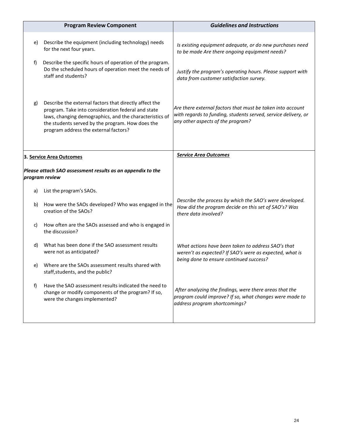|                          | <b>Program Review Component</b>                                                                                                                                                                                                                                      | <b>Guidelines and Instructions</b>                                                                                                                                |
|--------------------------|----------------------------------------------------------------------------------------------------------------------------------------------------------------------------------------------------------------------------------------------------------------------|-------------------------------------------------------------------------------------------------------------------------------------------------------------------|
| e)                       | Describe the equipment (including technology) needs<br>for the next four years.                                                                                                                                                                                      | Is existing equipment adequate, or do new purchases need<br>to be made Are there ongoing equipment needs?                                                         |
| f)                       | Describe the specific hours of operation of the program.<br>Do the scheduled hours of operation meet the needs of<br>staff and students?                                                                                                                             | Justify the program's operating hours. Please support with<br>data from customer satisfaction survey.                                                             |
| g)                       | Describe the external factors that directly affect the<br>program. Take into consideration federal and state<br>laws, changing demographics, and the characteristics of<br>the students served by the program. How does the<br>program address the external factors? | Are there external factors that must be taken into account<br>with regards to funding, students served, service delivery, or<br>any other aspects of the program? |
| 3. Service Area Outcomes |                                                                                                                                                                                                                                                                      | <b>Service Area Outcomes</b>                                                                                                                                      |
|                          | Please attach SAO assessment results as an appendix to the<br>program review                                                                                                                                                                                         |                                                                                                                                                                   |
| a)                       | List the program's SAOs.                                                                                                                                                                                                                                             |                                                                                                                                                                   |
| b)                       | How were the SAOs developed? Who was engaged in the<br>creation of the SAOs?                                                                                                                                                                                         | Describe the process by which the SAO's were developed.<br>How did the program decide on this set of SAO's? Was<br>there data involved?                           |
| C)                       | How often are the SAOs assessed and who is engaged in<br>the discussion?                                                                                                                                                                                             |                                                                                                                                                                   |
| d)                       | What has been done if the SAO assessment results<br>were not as anticipated?                                                                                                                                                                                         | What actions have been taken to address SAO's that<br>weren't as expected? If SAO's were as expected, what is<br>being done to ensure continued success?          |
| e)                       | Where are the SAOs assessment results shared with<br>staff, students, and the public?                                                                                                                                                                                |                                                                                                                                                                   |
| f)                       | Have the SAO assessment results indicated the need to<br>change or modify components of the program? If so,<br>were the changes implemented?                                                                                                                         | After analyzing the findings, were there areas that the<br>program could improve? If so, what changes were made to<br>address program shortcomings?               |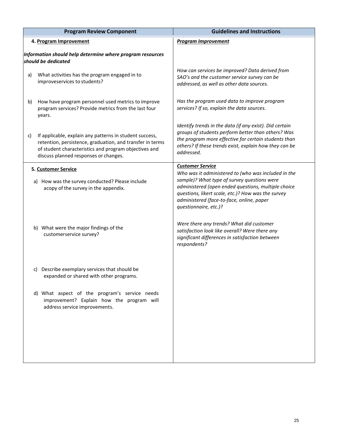| <b>Program Review Component</b> |                                                                                                                                                                                                                        | <b>Guidelines and Instructions</b>                                                                                                                                                                                                                                                    |
|---------------------------------|------------------------------------------------------------------------------------------------------------------------------------------------------------------------------------------------------------------------|---------------------------------------------------------------------------------------------------------------------------------------------------------------------------------------------------------------------------------------------------------------------------------------|
|                                 | 4. Program Improvement                                                                                                                                                                                                 | <b>Program Improvement</b>                                                                                                                                                                                                                                                            |
|                                 | Information should help determine where program resources<br>should be dedicated                                                                                                                                       |                                                                                                                                                                                                                                                                                       |
| a)                              | What activities has the program engaged in to<br>improveservices to students?                                                                                                                                          | How can services be improved? Data derived from<br>SAO's and the customer service survey can be<br>addressed, as well as other data sources.                                                                                                                                          |
| b)                              | How have program personnel used metrics to improve<br>program services? Provide metrics from the last four<br>years.                                                                                                   | Has the program used data to improve program<br>services? If so, explain the data sources.                                                                                                                                                                                            |
| C)                              | If applicable, explain any patterns in student success,<br>retention, persistence, graduation, and transfer in terms<br>of student characteristics and program objectives and<br>discuss planned responses or changes. | Identify trends in the data (if any exist). Did certain<br>groups of students perform better than others? Was<br>the program more effective for certain students than<br>others? If these trends exist, explain how they can be<br>addressed.                                         |
|                                 | 5. Customer Service                                                                                                                                                                                                    | <b>Customer Service</b>                                                                                                                                                                                                                                                               |
|                                 | a) How was the survey conducted? Please include<br>acopy of the survey in the appendix.                                                                                                                                | Who was it administered to (who was included in the<br>sample)? What type of survey questions were<br>administered (open ended questions, multiple choice<br>questions, likert scale, etc.)? How was the survey<br>administered (face-to-face, online, paper<br>questionnaire, etc.)? |
|                                 | b) What were the major findings of the<br>customerservice survey?                                                                                                                                                      | Were there any trends? What did customer<br>satisfaction look like overall? Were there any<br>significant differences in satisfaction between<br>respondents?                                                                                                                         |
|                                 | c) Describe exemplary services that should be<br>expanded or shared with other programs.                                                                                                                               |                                                                                                                                                                                                                                                                                       |
|                                 | d) What aspect of the program's service needs<br>improvement? Explain how the program will<br>address service improvements.                                                                                            |                                                                                                                                                                                                                                                                                       |
|                                 |                                                                                                                                                                                                                        |                                                                                                                                                                                                                                                                                       |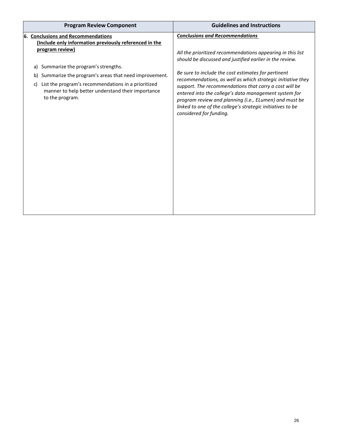| <b>Program Review Component</b>                                                                                                   | <b>Guidelines and Instructions</b>                                                                                                                                                                                                                                                                                                |  |
|-----------------------------------------------------------------------------------------------------------------------------------|-----------------------------------------------------------------------------------------------------------------------------------------------------------------------------------------------------------------------------------------------------------------------------------------------------------------------------------|--|
| 6. Conclusions and Recommendations<br>(Include only information previously referenced in the                                      | <b>Conclusions and Recommendations</b>                                                                                                                                                                                                                                                                                            |  |
| program review)                                                                                                                   | All the prioritized recommendations appearing in this list<br>should be discussed and justified earlier in the review.                                                                                                                                                                                                            |  |
| Summarize the program's strengths.<br>a)                                                                                          |                                                                                                                                                                                                                                                                                                                                   |  |
| Summarize the program's areas that need improvement.<br>b)                                                                        | Be sure to include the cost estimates for pertinent                                                                                                                                                                                                                                                                               |  |
| List the program's recommendations in a prioritized<br>C)<br>manner to help better understand their importance<br>to the program. | recommendations, as well as which strategic initiative they<br>support. The recommendations that carry a cost will be<br>entered into the college's data management system for<br>program review and planning (i.e., ELumen) and must be<br>linked to one of the college's strategic initiatives to be<br>considered for funding. |  |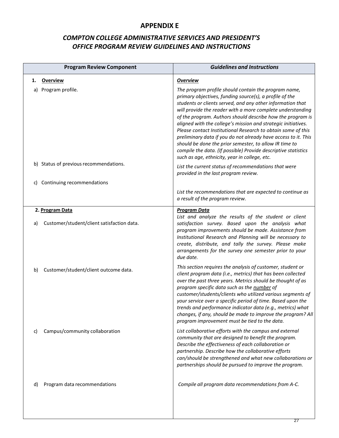# **APPENDIX E**

# *COMPTON COLLEGE ADMINISTRATIVE SERVICES AND PRESIDENT'S OFFICE PROGRAM REVIEW GUIDELINES AND INSTRUCTIONS*

|    | <b>Program Review Component</b>            | <b>Guidelines and Instructions</b>                                                                                                                                                                                                                                                                                                                                                                                                                                                                                                                                                                                                                                                        |
|----|--------------------------------------------|-------------------------------------------------------------------------------------------------------------------------------------------------------------------------------------------------------------------------------------------------------------------------------------------------------------------------------------------------------------------------------------------------------------------------------------------------------------------------------------------------------------------------------------------------------------------------------------------------------------------------------------------------------------------------------------------|
| 1. | <b>Overview</b>                            | <b>Overview</b>                                                                                                                                                                                                                                                                                                                                                                                                                                                                                                                                                                                                                                                                           |
| a) | Program profile.                           | The program profile should contain the program name,<br>primary objectives, funding source(s), a profile of the<br>students or clients served, and any other information that<br>will provide the reader with a more complete understanding<br>of the program. Authors should describe how the program is<br>aligned with the college's mission and strategic initiatives.<br>Please contact Institutional Research to obtain some of this<br>preliminary data if you do not already have access to it. This<br>should be done the prior semester, to allow IR time to<br>compile the data. (If possible) Provide descriptive statistics<br>such as age, ethnicity, year in college, etc. |
|    | b) Status of previous recommendations.     | List the current status of recommendations that were<br>provided in the last program review.                                                                                                                                                                                                                                                                                                                                                                                                                                                                                                                                                                                              |
| C) | Continuing recommendations                 |                                                                                                                                                                                                                                                                                                                                                                                                                                                                                                                                                                                                                                                                                           |
|    |                                            | List the recommendations that are expected to continue as<br>a result of the program review.                                                                                                                                                                                                                                                                                                                                                                                                                                                                                                                                                                                              |
|    | 2. Program Data                            | <b>Program Data</b><br>List and analyze the results of the student or client                                                                                                                                                                                                                                                                                                                                                                                                                                                                                                                                                                                                              |
| a) | Customer/student/client satisfaction data. | satisfaction survey. Based upon the analysis what<br>program improvements should be made. Assistance from<br>Institutional Research and Planning will be necessary to<br>create, distribute, and tally the survey. Please make<br>arrangements for the survey one semester prior to your<br>due date.                                                                                                                                                                                                                                                                                                                                                                                     |
| b) | Customer/student/client outcome data.      | This section requires the analysis of customer, student or<br>client program data (i.e., metrics) that has been collected<br>over the past three years. Metrics should be thought of as<br>program specific data such as the number of<br>customer/students/clients who utilized various segments of<br>your service over a specific period of time. Based upon the<br>trends and performance indicator data (e.g., metrics) what<br>changes, if any, should be made to improve the program? All<br>program improvement must be tied to the data.                                                                                                                                         |
| C) | Campus/community collaboration             | List collaborative efforts with the campus and external<br>community that are designed to benefit the program.<br>Describe the effectiveness of each collaboration or<br>partnership. Describe how the collaborative efforts<br>can/should be strengthened and what new collaborations or<br>partnerships should be pursued to improve the program.                                                                                                                                                                                                                                                                                                                                       |
| d) | Program data recommendations               | Compile all program data recommendations from A-C.                                                                                                                                                                                                                                                                                                                                                                                                                                                                                                                                                                                                                                        |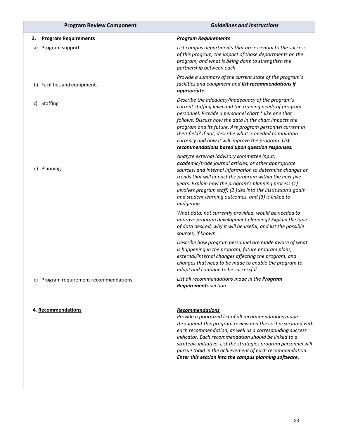|    | <b>Program Review Component</b>        | <b>Guidelines and Instructions</b>                                                                                                                                                                                                                                                                                                                                                                                                                              |
|----|----------------------------------------|-----------------------------------------------------------------------------------------------------------------------------------------------------------------------------------------------------------------------------------------------------------------------------------------------------------------------------------------------------------------------------------------------------------------------------------------------------------------|
| з. | <b>Program Requirements</b>            | <b>Program Requirements</b>                                                                                                                                                                                                                                                                                                                                                                                                                                     |
| a) | Program support.                       | List campus departments that are essential to the success<br>of this program, the impact of those departments on the<br>program, and what is being done to strengthen the<br>partnership between each.                                                                                                                                                                                                                                                          |
|    | b) Facilities and equipment.           | Provide a summary of the current state of the program's<br>facilities and equipment and list recommendations if<br>appropriate.                                                                                                                                                                                                                                                                                                                                 |
|    | c) Staffing                            | Describe the adequacy/inadequacy of the program's<br>current staffing level and the training needs of program<br>personnel. Provide a personnel chart * like one that<br>follows. Discuss how the data in the chart impacts the<br>program and its future. Are program personnel current in<br>their field? If not, describe what is needed to maintain<br>currency and how it will improve the program. List<br>recommendations based upon question responses. |
|    | d) Planning                            | Analyze external (advisory committee input,<br>academic/trade journal articles, or other appropriate<br>sources) and internal information to determine changes or<br>trends that will impact the program within the next five<br>years. Explain how the program's planning process (1)<br>involves program staff, (2 )ties into the institution's goals<br>and student learning outcomes, and (3) is linked to<br>budgeting.                                    |
|    |                                        | What data, not currently provided, would be needed to<br>improve program development planning? Explain the type<br>of data desired, why it will be useful, and list the possible<br>sources, if known.                                                                                                                                                                                                                                                          |
|    |                                        | Describe how program personnel are made aware of what<br>is happening in the program, future program plans,<br>external/internal changes affecting the program, and<br>changes that need to be made to enable the program to<br>adapt and continue to be successful.                                                                                                                                                                                            |
|    | e) Program requirement recommendations | List all recommendations made in the Program<br>Requirements section.                                                                                                                                                                                                                                                                                                                                                                                           |
|    | 4. Recommendations                     | <b>Recommendations</b><br>Provide a prioritized list of all recommendations made<br>throughout this program review and the cost associated with<br>each recommendation, as well as a corresponding success<br>indicator. Each recommendation should be linked to a<br>strategic initiative. List the strategies program personnel will<br>pursue toaid in the achievement of each recommendation.<br>Enter this section into the campus planning software.      |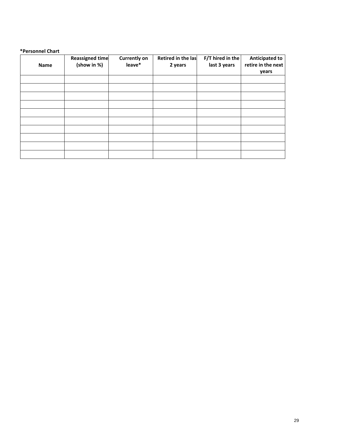#### **\*Personnel Chart**

| Name | Reassigned time<br>(show in %) | <b>Currently on</b><br>leave* | Retired in the las<br>2 years | F/T hired in the<br>last 3 years | <b>Anticipated to</b><br>retire in the next<br>years |
|------|--------------------------------|-------------------------------|-------------------------------|----------------------------------|------------------------------------------------------|
|      |                                |                               |                               |                                  |                                                      |
|      |                                |                               |                               |                                  |                                                      |
|      |                                |                               |                               |                                  |                                                      |
|      |                                |                               |                               |                                  |                                                      |
|      |                                |                               |                               |                                  |                                                      |
|      |                                |                               |                               |                                  |                                                      |
|      |                                |                               |                               |                                  |                                                      |
|      |                                |                               |                               |                                  |                                                      |
|      |                                |                               |                               |                                  |                                                      |
|      |                                |                               |                               |                                  |                                                      |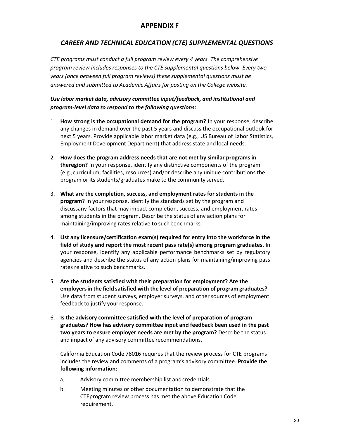#### **APPENDIX F**

#### *CAREER AND TECHNICAL EDUCATION (CTE) SUPPLEMENTAL QUESTIONS*

*CTE programs must conduct a full program review every 4 years. The comprehensive program review includes responses to the CTE supplemental questions below. Every two years (once between full program reviews) these supplemental questions must be answered and submitted to Academic Affairs for posting on the College website.*

#### *Use labor market data, advisory committee input/feedback, and institutional and program-level data to respond to the following questions:*

- 1. **How strong is the occupational demand for the program?** In your response, describe any changes in demand over the past 5 years and discuss the occupational outlook for next 5 years. Provide applicable labor market data (e.g., US Bureau of Labor Statistics, Employment Development Department) that address state and local needs.
- 2. **How does the program address needs that are not met by similar programs in theregion?** In your response, identify any distinctive components of the program (e.g.,curriculum, facilities, resources) and/or describe any unique contributions the program or its students/graduates make to the community served.
- 3. **What are the completion, success, and employment rates for students in the program?** In your response, identify the standards set by the program and discussany factors that may impact completion, success, and employment rates among students in the program. Describe the status of any action plans for maintaining/improving rates relative to suchbenchmarks
- 4. **List any licensure/certification exam(s) required for entry into the workforce in the field of study and report the most recent pass rate(s) among program graduates.** In your response, identify any applicable performance benchmarks set by regulatory agencies and describe the status of any action plans for maintaining/improving pass rates relative to such benchmarks.
- 5. **Are the students satisfied with their preparation for employment? Are the employersin the field satisfied with the level of preparation of program graduates?** Use data from student surveys, employer surveys, and other sources of employment feedback to justify your response.
- 6. **Is the advisory committee satisfied with the level of preparation of program graduates? How has advisory committee input and feedback been used in the past two years to ensure employer needs are met by the program?** Describe the status and impact of any advisory committee recommendations.

California Education Code 78016 requires that the review process for CTE programs includes the review and comments of a program's advisory committee. **Provide the following information:**

- a. Advisory committee membership list and credentials
- b. Meeting minutes or other documentation to demonstrate that the CTEprogram review process has met the above Education Code requirement.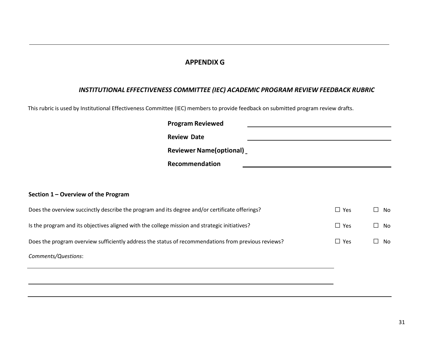#### **APPENDIX G**

#### *INSTITUTIONAL EFFECTIVENESS COMMITTEE (IEC) ACADEMIC PROGRAM REVIEW FEEDBACK RUBRIC*

This rubric is used by Institutional Effectiveness Committee (IEC) members to provide feedback on submitted program review drafts.

|                                                                                                     | <b>Program Reviewed</b>         |            |               |
|-----------------------------------------------------------------------------------------------------|---------------------------------|------------|---------------|
|                                                                                                     | <b>Review Date</b>              |            |               |
|                                                                                                     | <b>Reviewer Name (optional)</b> |            |               |
|                                                                                                     | Recommendation                  |            |               |
|                                                                                                     |                                 |            |               |
| Section 1 – Overview of the Program                                                                 |                                 |            |               |
| Does the overview succinctly describe the program and its degree and/or certificate offerings?      |                                 | $\Box$ Yes | No<br>$\Box$  |
| Is the program and its objectives aligned with the college mission and strategic initiatives?       |                                 | $\Box$ Yes | $\Box$<br>No  |
| Does the program overview sufficiently address the status of recommendations from previous reviews? |                                 | $\Box$ Yes | No<br>$\perp$ |
| Comments/Questions:                                                                                 |                                 |            |               |
|                                                                                                     |                                 |            |               |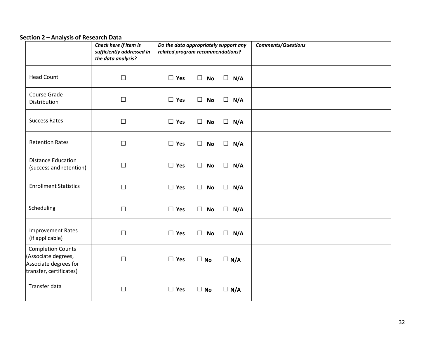#### **Section 2 – Analysis of Research Data**

|                                                                                                     | Check here if item is<br>sufficiently addressed in<br>the data analysis? | Do the data appropriately support any<br>related program recommendations? |                     |               | <b>Comments/Questions</b> |
|-----------------------------------------------------------------------------------------------------|--------------------------------------------------------------------------|---------------------------------------------------------------------------|---------------------|---------------|---------------------------|
| <b>Head Count</b>                                                                                   | $\Box$                                                                   | $\square$ Yes                                                             | $\Box$<br><b>No</b> | $\Box$<br>N/A |                           |
| Course Grade<br>Distribution                                                                        | $\Box$                                                                   | $\Box$ Yes                                                                | $\Box$<br><b>No</b> | $\Box$<br>N/A |                           |
| <b>Success Rates</b>                                                                                | $\Box$                                                                   | $\Box$ Yes                                                                | <b>No</b><br>$\Box$ | $\Box$<br>N/A |                           |
| <b>Retention Rates</b>                                                                              | $\Box$                                                                   | $\Box$ Yes                                                                | $\Box$<br><b>No</b> | $\Box$<br>N/A |                           |
| <b>Distance Education</b><br>(success and retention)                                                | $\Box$                                                                   | $\Box$ Yes                                                                | $\Box$ No           | $\Box$<br>N/A |                           |
| <b>Enrollment Statistics</b>                                                                        | $\Box$                                                                   | $\Box$ Yes                                                                | <b>No</b><br>$\Box$ | $\Box$<br>N/A |                           |
| Scheduling                                                                                          | $\Box$                                                                   | $\Box$ Yes                                                                | <b>No</b><br>$\Box$ | $\Box$<br>N/A |                           |
| <b>Improvement Rates</b><br>(if applicable)                                                         | $\Box$                                                                   | $\Box$ Yes                                                                | $\Box$<br><b>No</b> | $\Box$<br>N/A |                           |
| <b>Completion Counts</b><br>(Associate degrees,<br>Associate degrees for<br>transfer, certificates) | $\Box$                                                                   | $\Box$ Yes                                                                | $\square$ No        | $\Box$ N/A    |                           |
| Transfer data                                                                                       | $\Box$                                                                   | $\Box$ Yes                                                                | $\square$ No        | $\Box$ N/A    |                           |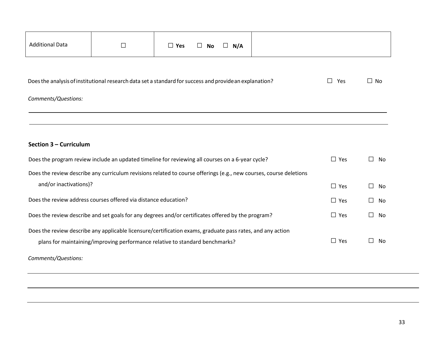| <b>Additional Data</b>                                                                                 | $\Box$                                                                                                             | $\Box$ Yes | No<br>$\Box$ | $\Box$ N/A |  |                |                     |
|--------------------------------------------------------------------------------------------------------|--------------------------------------------------------------------------------------------------------------------|------------|--------------|------------|--|----------------|---------------------|
|                                                                                                        |                                                                                                                    |            |              |            |  |                |                     |
| Does the analysis of institutional research data set a standard for success and providean explanation? |                                                                                                                    |            |              |            |  | Yes<br>$\perp$ | $\Box$ No           |
| Comments/Questions:                                                                                    |                                                                                                                    |            |              |            |  |                |                     |
|                                                                                                        |                                                                                                                    |            |              |            |  |                |                     |
|                                                                                                        |                                                                                                                    |            |              |            |  |                |                     |
| Section 3 - Curriculum                                                                                 |                                                                                                                    |            |              |            |  |                |                     |
|                                                                                                        | Does the program review include an updated timeline for reviewing all courses on a 6-year cycle?                   |            |              |            |  | $\Box$ Yes     | $\Box$<br><b>No</b> |
|                                                                                                        | Does the review describe any curriculum revisions related to course offerings (e.g., new courses, course deletions |            |              |            |  |                |                     |
| and/or inactivations)?                                                                                 |                                                                                                                    |            |              |            |  | $\Box$ Yes     | П.<br>No            |
|                                                                                                        | Does the review address courses offered via distance education?                                                    |            |              |            |  | $\Box$ Yes     | $\perp$<br>No       |
| Does the review describe and set goals for any degrees and/or certificates offered by the program?     |                                                                                                                    |            |              |            |  | $\Box$ Yes     | П<br>No             |
|                                                                                                        | Does the review describe any applicable licensure/certification exams, graduate pass rates, and any action         |            |              |            |  |                |                     |
|                                                                                                        | plans for maintaining/improving performance relative to standard benchmarks?                                       |            |              |            |  | $\Box$ Yes     | П<br>No             |
| Comments/Questions:                                                                                    |                                                                                                                    |            |              |            |  |                |                     |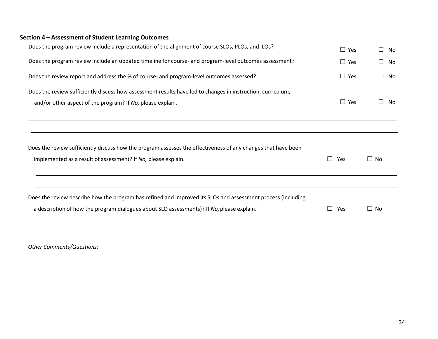| Does the program review include a representation of the alignment of course SLOs, PLOs, and ILOs?                                                                              | $\Box$ Yes | $\perp$<br>No |
|--------------------------------------------------------------------------------------------------------------------------------------------------------------------------------|------------|---------------|
| Does the program review include an updated timeline for course- and program-level outcomes assessment?                                                                         | $\Box$ Yes | $\perp$<br>No |
| Does the review report and address the % of course- and program-level outcomes assessed?                                                                                       | $\Box$ Yes | ΙI<br>No      |
| Does the review sufficiently discuss how assessment results have led to changes in instruction, curriculum,                                                                    |            |               |
| and/or other aspect of the program? If No, please explain.                                                                                                                     | $\Box$ Yes | No<br>ΙI      |
|                                                                                                                                                                                |            |               |
| Does the review sufficiently discuss how the program assesses the effectiveness of any changes that have been<br>implemented as a result of assessment? If No, please explain. | П<br>Yes   | $\Box$ No     |
| Does the review describe how the program has refined and improved its SLOs and assessment process (including                                                                   |            |               |
| a description of how the program dialogues about SLO assessments)? If No, please explain.                                                                                      | П<br>Yes   | $\Box$ No     |
|                                                                                                                                                                                |            |               |

*Other Comments/Questions:*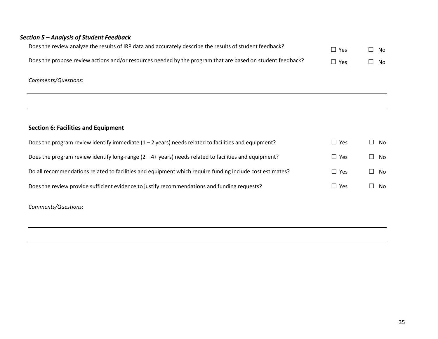#### *Section 5 – Analysis of Student Feedback*

| Does the review analyze the results of IRP data and accurately describe the results of student feedback?   | $\Box$ Yes | $\Box$ No |
|------------------------------------------------------------------------------------------------------------|------------|-----------|
| Does the propose review actions and/or resources needed by the program that are based on student feedback? | $\Box$ Yes | $\Box$ No |

#### *Comments/Questions*:

#### **Section 6: Facilities and Equipment**

| Does the program review identify immediate $(1 - 2 \text{ years})$ needs related to facilities and equipment? | $\Box$ Yes | No    |
|---------------------------------------------------------------------------------------------------------------|------------|-------|
| Does the program review identify long-range $(2 - 4 + \gamma)$ needs related to facilities and equipment?     | $\Box$ Yes | ll No |
| Do all recommendations related to facilities and equipment which require funding include cost estimates?      | $\Box$ Yes | ll No |
| Does the review provide sufficient evidence to justify recommendations and funding requests?                  | $\Box$ Yes | No.   |
|                                                                                                               |            |       |

# *Comments/Questions*: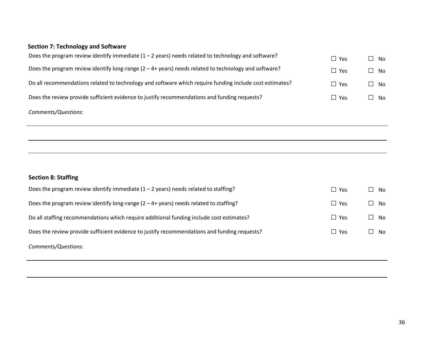# **Section 7: Technology and Software**

| Does the program review identify immediate $(1 - 2$ years) needs related to technology and software?            | $\Box$ Yes | $\square$ No |
|-----------------------------------------------------------------------------------------------------------------|------------|--------------|
| Does the program review identify long-range $(2 - 4 + \gamma)$ pears) needs related to technology and software? | $\Box$ Yes | $\square$ No |
| Do all recommendations related to technology and software which require funding include cost estimates?         | $\Box$ Yes | $\square$ No |
| Does the review provide sufficient evidence to justify recommendations and funding requests?                    | $\Box$ Yes | $\Box$ No    |
| Comments/Questions:                                                                                             |            |              |

# **Section 8: Staffing**

| Does the program review identify immediate $(1 - 2$ years) needs related to staffing?            | $\Box$ Yes    | No<br>$\Box$ |
|--------------------------------------------------------------------------------------------------|---------------|--------------|
| Does the program review identify long-range $(2 - 4 + \gamma)$ pears) needs related to staffing? | $\square$ Yes | No.          |
| Do all staffing recommendations which require additional funding include cost estimates?         | $\square$ Yes | $\Box$ No    |
| Does the review provide sufficient evidence to justify recommendations and funding requests?     | $\Box$ Yes    | No.          |
| Comments/Questions:                                                                              |               |              |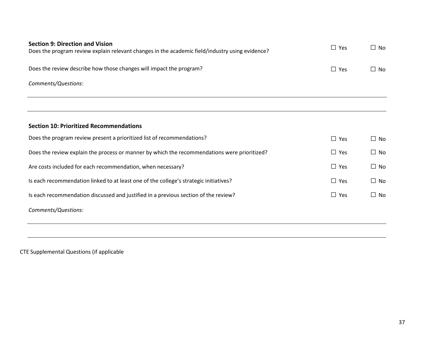| <b>Section 9: Direction and Vision</b><br>Does the program review explain relevant changes in the academic field/industry using evidence? | $\Box$ Yes | $\Box$ No |
|-------------------------------------------------------------------------------------------------------------------------------------------|------------|-----------|
|                                                                                                                                           |            |           |
| Does the review describe how those changes will impact the program?                                                                       | $\Box$ Yes | $\Box$ No |
| Comments/Questions:                                                                                                                       |            |           |
|                                                                                                                                           |            |           |
|                                                                                                                                           |            |           |
| <b>Section 10: Prioritized Recommendations</b>                                                                                            |            |           |
| Does the program review present a prioritized list of recommendations?                                                                    | $\Box$ Yes | $\Box$ No |
| Does the review explain the process or manner by which the recommendations were prioritized?                                              | $\Box$ Yes | $\Box$ No |
| Are costs included for each recommendation, when necessary?                                                                               | $\Box$ Yes | $\Box$ No |
| Is each recommendation linked to at least one of the college's strategic initiatives?                                                     | $\Box$ Yes | $\Box$ No |
| Is each recommendation discussed and justified in a previous section of the review?                                                       | $\Box$ Yes | $\Box$ No |
| Comments/Questions:                                                                                                                       |            |           |
|                                                                                                                                           |            |           |

CTE Supplemental Questions (if applicable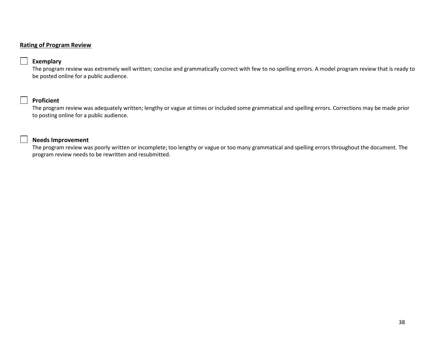#### **Rating of Program Review**

#### **Exemplary**

The program review was extremely well written; concise and grammatically correct with few to no spelling errors. A model program review that is ready to be posted online for a public audience.

#### **Proficient**

The program review was adequately written; lengthy or vague at times or included some grammatical and spelling errors. Corrections may be made prior to posting online for a public audience.

#### **Needs Improvement**

The program review was poorly written or incomplete; too lengthy or vague or too many grammatical and spelling errors throughout the document. The program review needs to be rewritten and resubmitted.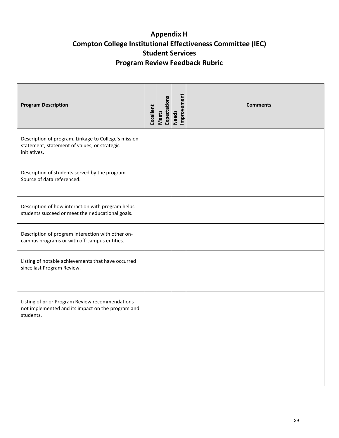# **Appendix H Compton College Institutional Effectiveness Committee (IEC) Student Services Program Review Feedback Rubric**

| <b>Program Description</b>                                                                                           | Excellent | Expectations<br><b>Meets</b> | Needs<br>Improvement | <b>Comments</b> |
|----------------------------------------------------------------------------------------------------------------------|-----------|------------------------------|----------------------|-----------------|
| Description of program. Linkage to College's mission<br>statement, statement of values, or strategic<br>initiatives. |           |                              |                      |                 |
| Description of students served by the program.<br>Source of data referenced.                                         |           |                              |                      |                 |
| Description of how interaction with program helps<br>students succeed or meet their educational goals.               |           |                              |                      |                 |
| Description of program interaction with other on-<br>campus programs or with off-campus entities.                    |           |                              |                      |                 |
| Listing of notable achievements that have occurred<br>since last Program Review.                                     |           |                              |                      |                 |
| Listing of prior Program Review recommendations<br>not implemented and its impact on the program and<br>students.    |           |                              |                      |                 |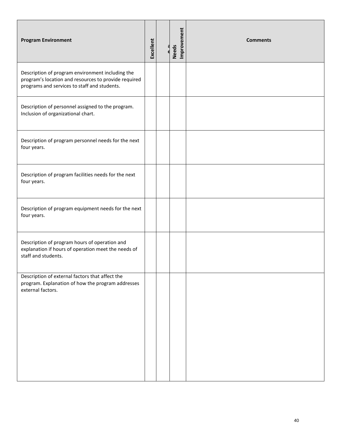| <b>Program Environment</b>                                                                                                                               | Excellent | Improvement<br><b>Needs</b> | <b>Comments</b> |
|----------------------------------------------------------------------------------------------------------------------------------------------------------|-----------|-----------------------------|-----------------|
| Description of program environment including the<br>program's location and resources to provide required<br>programs and services to staff and students. |           |                             |                 |
| Description of personnel assigned to the program.<br>Inclusion of organizational chart.                                                                  |           |                             |                 |
| Description of program personnel needs for the next<br>four years.                                                                                       |           |                             |                 |
| Description of program facilities needs for the next<br>four years.                                                                                      |           |                             |                 |
| Description of program equipment needs for the next<br>four years.                                                                                       |           |                             |                 |
| Description of program hours of operation and<br>explanation if hours of operation meet the needs of<br>staff and students.                              |           |                             |                 |
| Description of external factors that affect the<br>program. Explanation of how the program addresses<br>external factors.                                |           |                             |                 |
|                                                                                                                                                          |           |                             |                 |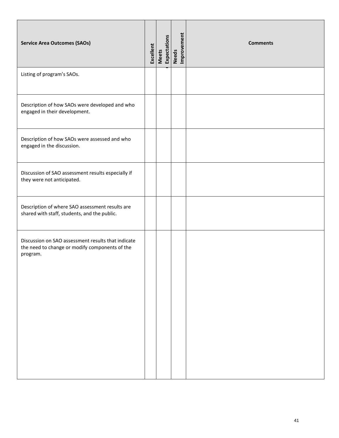| <b>Service Area Outcomes (SAOs)</b>                                                                              | Excellent | Meets<br>Expectations | Needs<br>Improvement | <b>Comments</b> |
|------------------------------------------------------------------------------------------------------------------|-----------|-----------------------|----------------------|-----------------|
| Listing of program's SAOs.                                                                                       |           |                       |                      |                 |
| Description of how SAOs were developed and who<br>engaged in their development.                                  |           |                       |                      |                 |
| Description of how SAOs were assessed and who<br>engaged in the discussion.                                      |           |                       |                      |                 |
| Discussion of SAO assessment results especially if<br>they were not anticipated.                                 |           |                       |                      |                 |
| Description of where SAO assessment results are<br>shared with staff, students, and the public.                  |           |                       |                      |                 |
| Discussion on SAO assessment results that indicate<br>the need to change or modify components of the<br>program. |           |                       |                      |                 |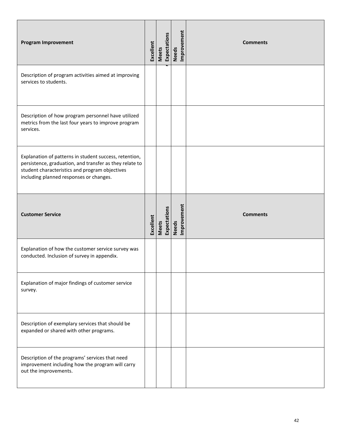| <b>Program Improvement</b>                                                                                                                                                                                     | Excellent | <b>Meets</b> | Expectations | Improvement<br><b>Needs</b> | <b>Comments</b> |
|----------------------------------------------------------------------------------------------------------------------------------------------------------------------------------------------------------------|-----------|--------------|--------------|-----------------------------|-----------------|
| Description of program activities aimed at improving<br>services to students.                                                                                                                                  |           |              |              |                             |                 |
| Description of how program personnel have utilized<br>metrics from the last four years to improve program<br>services.                                                                                         |           |              |              |                             |                 |
| Explanation of patterns in student success, retention,<br>persistence, graduation, and transfer as they relate to<br>student characteristics and program objectives<br>including planned responses or changes. |           |              |              |                             |                 |
| <b>Customer Service</b>                                                                                                                                                                                        | Excellent | <b>Meets</b> | Expectations | Needs<br>Improvement        | <b>Comments</b> |
| Explanation of how the customer service survey was<br>conducted. Inclusion of survey in appendix.                                                                                                              |           |              |              |                             |                 |
| Explanation of major findings of customer service<br>survey.                                                                                                                                                   |           |              |              |                             |                 |
| Description of exemplary services that should be<br>expanded or shared with other programs.                                                                                                                    |           |              |              |                             |                 |
| Description of the programs' services that need<br>improvement including how the program will carry<br>out the improvements.                                                                                   |           |              |              |                             |                 |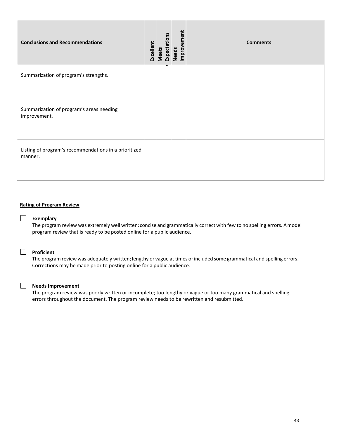| <b>Conclusions and Recommendations</b>                           | Excellent | Expectations<br>Meets | Needs<br>Improvement | <b>Comments</b> |
|------------------------------------------------------------------|-----------|-----------------------|----------------------|-----------------|
| Summarization of program's strengths.                            |           |                       |                      |                 |
| Summarization of program's areas needing<br>improvement.         |           |                       |                      |                 |
| Listing of program's recommendations in a prioritized<br>manner. |           |                       |                      |                 |

#### **Rating of Program Review**

#### **Exemplary**

The program review was extremely well written; concise and grammatically correct with few to no spelling errors. Amodel program review that is ready to be posted online for a public audience.

#### **Proficient**

The program review was adequately written; lengthy or vague at times orincluded some grammatical and spelling errors. Corrections may be made prior to posting online for a public audience.

#### **Needs Improvement**

The program review was poorly written or incomplete; too lengthy or vague or too many grammatical and spelling errors throughout the document. The program review needs to be rewritten and resubmitted.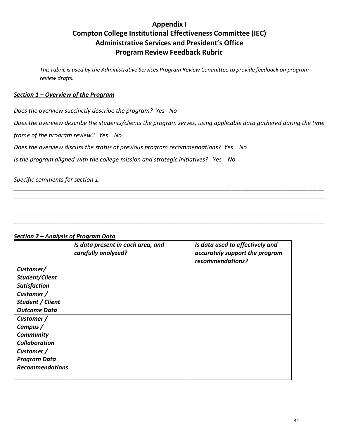# **Appendix I Compton College Institutional Effectiveness Committee (IEC) Administrative Services and President's Office Program Review Feedback Rubric**

*This rubric is used by the Administrative Services Program Review Committee to provide feedback on program review drafts.*

#### *Section 1 – Overview of the Program*

*Does the overview succinctly describe the program? Yes No*

*Does the overview describe the students/clients the program serves, using applicable data gathered during the time* 

*\_\_\_\_\_\_\_\_\_\_\_\_\_\_\_\_\_\_\_\_\_\_\_\_\_\_\_\_\_\_\_\_\_\_\_\_\_\_\_\_\_\_\_\_\_\_\_\_\_\_\_\_\_\_\_\_\_\_\_\_\_\_\_\_\_\_\_\_\_\_\_\_\_\_\_\_\_\_\_\_\_\_\_\_\_\_\_\_\_\_\_\_\_\_ \_\_\_\_\_\_\_\_\_\_\_\_\_\_\_\_\_\_\_\_\_\_\_\_\_\_\_\_\_\_\_\_\_\_\_\_\_\_\_\_\_\_\_\_\_\_\_\_\_\_\_\_\_\_\_\_\_\_\_\_\_\_\_\_\_\_\_\_\_\_\_\_\_\_\_\_\_\_\_\_\_\_\_\_\_\_\_\_\_\_\_\_\_\_ \_\_\_\_\_\_\_\_\_\_\_\_\_\_\_\_\_\_\_\_\_\_\_\_\_\_\_\_\_\_\_\_\_\_\_\_\_\_\_\_\_\_\_\_\_\_\_\_\_\_\_\_\_\_\_\_\_\_\_\_\_\_\_\_\_\_\_\_\_\_\_\_\_\_\_\_\_\_\_\_\_\_\_\_\_\_\_\_\_\_\_\_\_\_ \_\_\_\_\_\_\_\_\_\_\_\_\_\_\_\_\_\_\_\_\_\_\_\_\_\_\_\_\_\_\_\_\_\_\_\_\_\_\_\_\_\_\_\_\_\_\_\_\_\_\_\_\_\_\_\_\_\_\_\_\_\_\_\_\_\_\_\_\_\_\_\_\_\_\_\_\_\_\_\_\_\_\_\_\_\_\_\_\_\_\_\_\_\_ \_\_\_\_\_\_\_\_\_\_\_\_\_\_\_\_\_\_\_\_\_\_\_\_\_\_\_\_\_\_\_\_\_\_\_\_\_\_\_\_\_\_\_\_\_\_\_\_\_\_\_\_\_\_\_\_\_\_\_\_\_\_\_\_\_\_\_\_\_\_\_\_\_\_\_\_\_\_\_\_\_\_\_\_\_\_\_\_\_\_\_\_\_\_*

*frame of the program review? Yes No*

*Does the overview discuss the status of previous program recommendations? Yes No*

*Is the program aligned with the college mission and strategic initiatives? Yes No*

*Specific comments for section 1:*

#### *Section 2 – Analysis of Program Data*

|                        | Is data present in each area, and<br>carefully analyzed? | Is data used to effectively and<br>accurately support the program<br>recommendations? |
|------------------------|----------------------------------------------------------|---------------------------------------------------------------------------------------|
| Customer/              |                                                          |                                                                                       |
| Student/Client         |                                                          |                                                                                       |
| <b>Satisfaction</b>    |                                                          |                                                                                       |
| Customer /             |                                                          |                                                                                       |
| Student / Client       |                                                          |                                                                                       |
| <b>Outcome Data</b>    |                                                          |                                                                                       |
| Customer /             |                                                          |                                                                                       |
| Campus /               |                                                          |                                                                                       |
| <b>Community</b>       |                                                          |                                                                                       |
| <b>Collaboration</b>   |                                                          |                                                                                       |
| Customer /             |                                                          |                                                                                       |
| <b>Program Data</b>    |                                                          |                                                                                       |
| <b>Recommendations</b> |                                                          |                                                                                       |
|                        |                                                          |                                                                                       |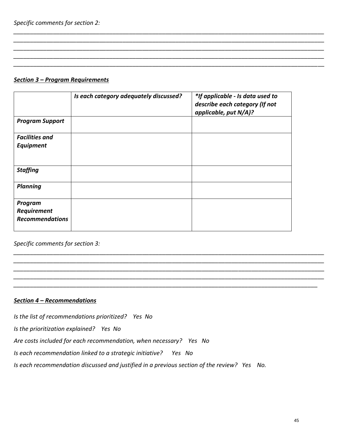#### *Section 3 – Program Requirements*

|                        | Is each category adequately discussed? | *If applicable - Is data used to<br>describe each category (If not<br>applicable, put N/A)? |
|------------------------|----------------------------------------|---------------------------------------------------------------------------------------------|
| <b>Program Support</b> |                                        |                                                                                             |
| <b>Facilities and</b>  |                                        |                                                                                             |
| <b>Equipment</b>       |                                        |                                                                                             |
|                        |                                        |                                                                                             |
| <b>Staffing</b>        |                                        |                                                                                             |
| <b>Planning</b>        |                                        |                                                                                             |
| Program                |                                        |                                                                                             |
| Requirement            |                                        |                                                                                             |
| <b>Recommendations</b> |                                        |                                                                                             |

*\_\_\_\_\_\_\_\_\_\_\_\_\_\_\_\_\_\_\_\_\_\_\_\_\_\_\_\_\_\_\_\_\_\_\_\_\_\_\_\_\_\_\_\_\_\_\_\_\_\_\_\_\_\_\_\_\_\_\_\_\_\_\_\_\_\_\_\_\_\_\_\_\_\_\_\_\_\_\_\_\_\_\_\_\_\_\_\_\_\_\_\_\_\_ \_\_\_\_\_\_\_\_\_\_\_\_\_\_\_\_\_\_\_\_\_\_\_\_\_\_\_\_\_\_\_\_\_\_\_\_\_\_\_\_\_\_\_\_\_\_\_\_\_\_\_\_\_\_\_\_\_\_\_\_\_\_\_\_\_\_\_\_\_\_\_\_\_\_\_\_\_\_\_\_\_\_\_\_\_\_\_\_\_\_\_\_\_\_ \_\_\_\_\_\_\_\_\_\_\_\_\_\_\_\_\_\_\_\_\_\_\_\_\_\_\_\_\_\_\_\_\_\_\_\_\_\_\_\_\_\_\_\_\_\_\_\_\_\_\_\_\_\_\_\_\_\_\_\_\_\_\_\_\_\_\_\_\_\_\_\_\_\_\_\_\_\_\_\_\_\_\_\_\_\_\_\_\_\_\_\_\_\_ \_\_\_\_\_\_\_\_\_\_\_\_\_\_\_\_\_\_\_\_\_\_\_\_\_\_\_\_\_\_\_\_\_\_\_\_\_\_\_\_\_\_\_\_\_\_\_\_\_\_\_\_\_\_\_\_\_\_\_\_\_\_\_\_\_\_\_\_\_\_\_\_\_\_\_\_\_\_\_\_\_\_\_\_\_\_\_\_\_\_\_\_\_\_ \_\_\_\_\_\_\_\_\_\_\_\_\_\_\_\_\_\_\_\_\_\_\_\_\_\_\_\_\_\_\_\_\_\_\_\_\_\_\_\_\_\_\_\_\_\_\_\_\_\_\_\_\_\_\_\_\_\_\_\_\_\_\_\_\_\_\_\_\_\_\_\_\_\_\_\_\_\_\_\_\_\_\_\_\_\_\_\_\_\_\_\_*

*\_\_\_\_\_\_\_\_\_\_\_\_\_\_\_\_\_\_\_\_\_\_\_\_\_\_\_\_\_\_\_\_\_\_\_\_\_\_\_\_\_\_\_\_\_\_\_\_\_\_\_\_\_\_\_\_\_\_\_\_\_\_\_\_\_\_\_\_\_\_\_\_\_\_\_\_\_\_\_\_\_\_\_\_\_\_\_\_\_\_\_\_\_\_ \_\_\_\_\_\_\_\_\_\_\_\_\_\_\_\_\_\_\_\_\_\_\_\_\_\_\_\_\_\_\_\_\_\_\_\_\_\_\_\_\_\_\_\_\_\_\_\_\_\_\_\_\_\_\_\_\_\_\_\_\_\_\_\_\_\_\_\_\_\_\_\_\_\_\_\_\_\_\_\_\_\_\_\_\_\_\_\_\_\_\_\_\_\_ \_\_\_\_\_\_\_\_\_\_\_\_\_\_\_\_\_\_\_\_\_\_\_\_\_\_\_\_\_\_\_\_\_\_\_\_\_\_\_\_\_\_\_\_\_\_\_\_\_\_\_\_\_\_\_\_\_\_\_\_\_\_\_\_\_\_\_\_\_\_\_\_\_\_\_\_\_\_\_\_\_\_\_\_\_\_\_\_\_\_\_\_\_\_ \_\_\_\_\_\_\_\_\_\_\_\_\_\_\_\_\_\_\_\_\_\_\_\_\_\_\_\_\_\_\_\_\_\_\_\_\_\_\_\_\_\_\_\_\_\_\_\_\_\_\_\_\_\_\_\_\_\_\_\_\_\_\_\_\_\_\_\_\_\_\_\_\_\_\_\_\_\_\_\_\_\_\_\_\_\_\_\_\_\_\_\_\_\_ \_\_\_\_\_\_\_\_\_\_\_\_\_\_\_\_\_\_\_\_\_\_\_\_\_\_\_\_\_\_\_\_\_\_\_\_\_\_\_\_\_\_\_\_\_\_\_\_\_\_\_\_\_\_\_\_\_\_\_\_\_\_\_\_\_\_\_\_\_\_\_\_\_\_\_\_\_\_\_\_\_\_\_\_\_\_\_\_\_\_\_\_\_\_*

*Specific comments for section 3:*

#### *Section 4 – Recommendations*

*Is the list of recommendations prioritized? Yes No*

*Is the prioritization explained? Yes No*

*Are costs included for each recommendation, when necessary? Yes No*

*Is each recommendation linked to a strategic initiative? Yes No*

*Is each recommendation discussed and justified in a previous section of the review? Yes No.*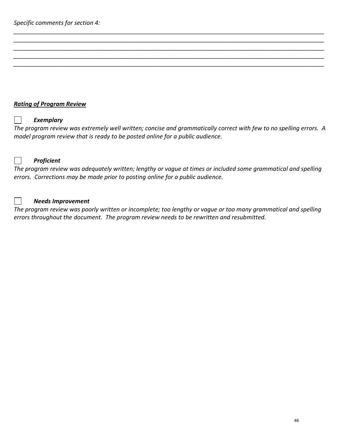# *Rating of Program Review*

# $\Box$

# *Exemplary*

*The program review was extremely well written; concise and grammatically correct with few to no spelling errors. A model program review that is ready to be posted online for a public audience.*

*\_\_\_\_\_\_\_\_\_\_\_\_\_\_\_\_\_\_\_\_\_\_\_\_\_\_\_\_\_\_\_\_\_\_\_\_\_\_\_\_\_\_\_\_\_\_\_\_\_\_\_\_\_\_\_\_\_\_\_\_\_\_\_\_\_\_\_\_\_\_\_\_\_\_\_\_\_\_\_\_\_\_\_\_\_\_\_\_\_\_\_\_\_\_ \_\_\_\_\_\_\_\_\_\_\_\_\_\_\_\_\_\_\_\_\_\_\_\_\_\_\_\_\_\_\_\_\_\_\_\_\_\_\_\_\_\_\_\_\_\_\_\_\_\_\_\_\_\_\_\_\_\_\_\_\_\_\_\_\_\_\_\_\_\_\_\_\_\_\_\_\_\_\_\_\_\_\_\_\_\_\_\_\_\_\_\_\_\_ \_\_\_\_\_\_\_\_\_\_\_\_\_\_\_\_\_\_\_\_\_\_\_\_\_\_\_\_\_\_\_\_\_\_\_\_\_\_\_\_\_\_\_\_\_\_\_\_\_\_\_\_\_\_\_\_\_\_\_\_\_\_\_\_\_\_\_\_\_\_\_\_\_\_\_\_\_\_\_\_\_\_\_\_\_\_\_\_\_\_\_\_\_\_ \_\_\_\_\_\_\_\_\_\_\_\_\_\_\_\_\_\_\_\_\_\_\_\_\_\_\_\_\_\_\_\_\_\_\_\_\_\_\_\_\_\_\_\_\_\_\_\_\_\_\_\_\_\_\_\_\_\_\_\_\_\_\_\_\_\_\_\_\_\_\_\_\_\_\_\_\_\_\_\_\_\_\_\_\_\_\_\_\_\_\_\_\_\_ \_\_\_\_\_\_\_\_\_\_\_\_\_\_\_\_\_\_\_\_\_\_\_\_\_\_\_\_\_\_\_\_\_\_\_\_\_\_\_\_\_\_\_\_\_\_\_\_\_\_\_\_\_\_\_\_\_\_\_\_\_\_\_\_\_\_\_\_\_\_\_\_\_\_\_\_\_\_\_\_\_\_\_\_\_\_\_\_\_\_\_\_\_\_*



 $\vert \ \ \vert$ 

#### *Proficient*

*The program review was adequately written; lengthy or vague at times or included some grammatical and spelling errors. Corrections may be made prior to posting online for a public audience.*

#### *Needs Improvement*

*The program review was poorly written or incomplete; too lengthy or vague or too many grammatical and spelling errors throughout the document. The program review needs to be rewritten and resubmitted.*